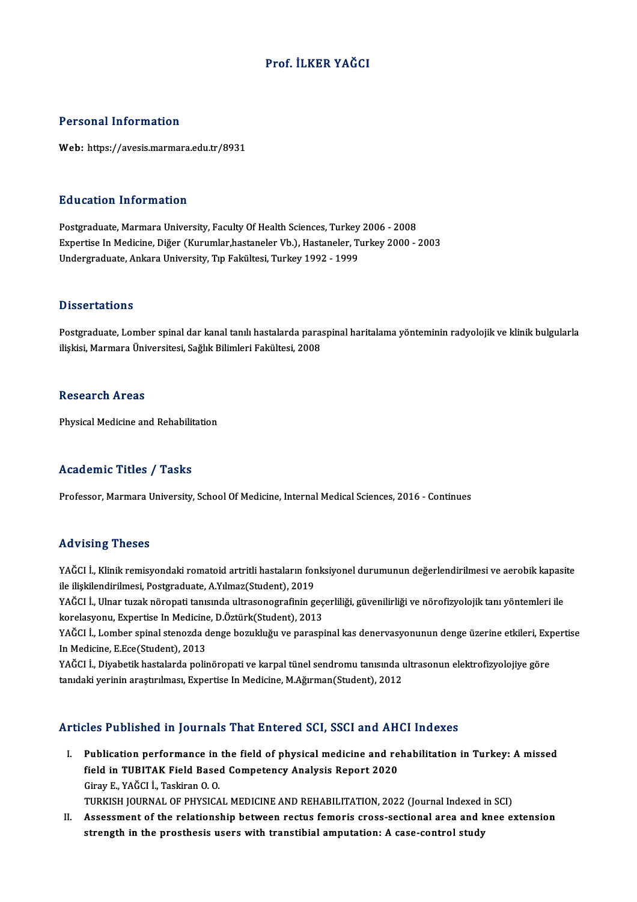### Prof. İLKER YAĞCI

### Personal Information

Web: https://avesis.marmara.edu.tr/8931

#### Education Information

**Education Information<br>Postgraduate, Marmara University, Faculty Of Health Sciences, Turkey 2006 - 2008<br>Expertise In Medisine, Dižer (Kurumlar bestaneler Vb.), Hestaneler, Turkey 2000** Expertise In Medicine, Diğer (Kurumlar,hastaneler Vb.), Hastaneler, Turkey 2000 - 2003<br>Undergraduate, Ankara University, Tıp Fakültesi, Turkey 1992 - 1999 Postgraduate, Marmara University, Faculty Of Health Sciences, Turkey<br>Expertise In Medicine, Diğer (Kurumlar,hastaneler Vb.), Hastaneler, Tı<br>Undergraduate, Ankara University, Tıp Fakültesi, Turkey 1992 - 1999

#### **Dissertations**

Dissertations<br>Postgraduate, Lomber spinal dar kanal tanılı hastalarda paraspinal haritalama yönteminin radyolojik ve klinik bulgularla<br>iliskisi Marmara Üniversitesi, Sağlık Bilimleri Fekültesi, 2008 Bilbool tatromo<br>Postgraduate, Lomber spinal dar kanal tanılı hastalarda para:<br>ilişkisi, Marmara Üniversitesi, Sağlık Bilimleri Fakültesi, 2008 ilişkisi, Marmara Üniversitesi, Sağlık Bilimleri Fakültesi, 2008<br>Research Areas

Physical Medicine and Rehabilitation

### Academic Titles / Tasks

Professor, Marmara University, School Of Medicine, Internal Medical Sciences, 2016 - Continues

#### Advising Theses

Advising Theses<br>YAĞCI İ., Klinik remisyondaki romatoid artritli hastaların fonksiyonel durumunun değerlendirilmesi ve aerobik kapasite<br>ile iliakilandirilmesi, Restanduate, A Vılmaz(Student), 2019 ile vising ilisses<br>YAĞCI İ., Klinik remisyondaki romatoid artritli hastaların for<br>ile ilişkilendirilmesi, Postgraduate, A.Yılmaz(Student), 2019<br>YAĞCI İ. Ulnan turak pönensti tanısında ultrasonografinin g YAĞCI İ., Klinik remisyondaki romatoid artritli hastaların fonksiyonel durumunun değerlendirilmesi ve aerobik kapasi<br>ile ilişkilendirilmesi, Postgraduate, A.Yılmaz(Student), 2019<br>YAĞCI İ., Ulnar tuzak nöropati tanısında ul

ile ilişkilendirilmesi, Postgraduate, A.Yılmaz(Student), 2019<br>YAĞCI İ., Ulnar tuzak nöropati tanısında ultrasonografinin geç<br>korelasyonu, Expertise In Medicine, D.Öztürk(Student), 2013<br>YAĞCI İ. Lember eninel stanarda danas YAĞCI İ., Ulnar tuzak nöropati tanısında ultrasonografinin geçerliliği, güvenilirliği ve nörofizyolojik tanı yöntemleri ile<br>korelasyonu, Expertise In Medicine, D.Öztürk(Student), 2013<br>YAĞCI İ., Lomber spinal stenozda denge

korelasyonu, Expertise In Medicine, D.Öztürk(Student), 2013<br>YAĞCI İ., Lomber spinal stenozda denge bozukluğu ve parasp<br>In Medicine, E.Ece(Student), 2013 YAĞCI İ., Lomber spinal stenozda denge bozukluğu ve paraspinal kas denervasyonunun denge üzerine etkileri, Expertise<br>In Medicine, E.Ece(Student), 2013<br>YAĞCI İ., Diyabetik hastalarda polinöropati ve karpal tünel sendromu ta

YAĞCI İ., Diyabetik hastalarda polinöropati ve karpal tünel sendromu tanısında ultrasonun elektrofizyolojiye göre

### Articles Published in Journals That Entered SCI, SSCI and AHCI Indexes

I. Publication performance in the field of physical medicine and rehabilitation in Turkey: A missed Field in Tublication performance in the field of physical medicine and refield in TUBITAK Field Based Competency Analysis Report 2020 Publication performance in<br>field in TUBITAK Field Base<br>Giray E., YAĞCI İ., Taskiran O. O.<br>TURKIEH JOURNAL OF BHYSICA field in TUBITAK Field Based Competency Analysis Report 2020<br>Giray E., YAĞCI İ., Taskiran O. O.<br>TURKISH JOURNAL OF PHYSICAL MEDICINE AND REHABILITATION, 2022 (Journal Indexed in SCI)<br>Assessment of the relationship between

Giray E., YAĞCI İ., Taskiran O. O.<br>TURKISH JOURNAL OF PHYSICAL MEDICINE AND REHABILITATION, 2022 (Journal Indexed in SCI)<br>II. Assessment of the relationship between rectus femoris cross-sectional area and knee extension<br>st TURKISH JOURNAL OF PHYSICAL MEDICINE AND REHABILITATION, 2022 (Journal Indexed i<br>Assessment of the relationship between rectus femoris cross-sectional area and k<br>strength in the prosthesis users with transtibial amputation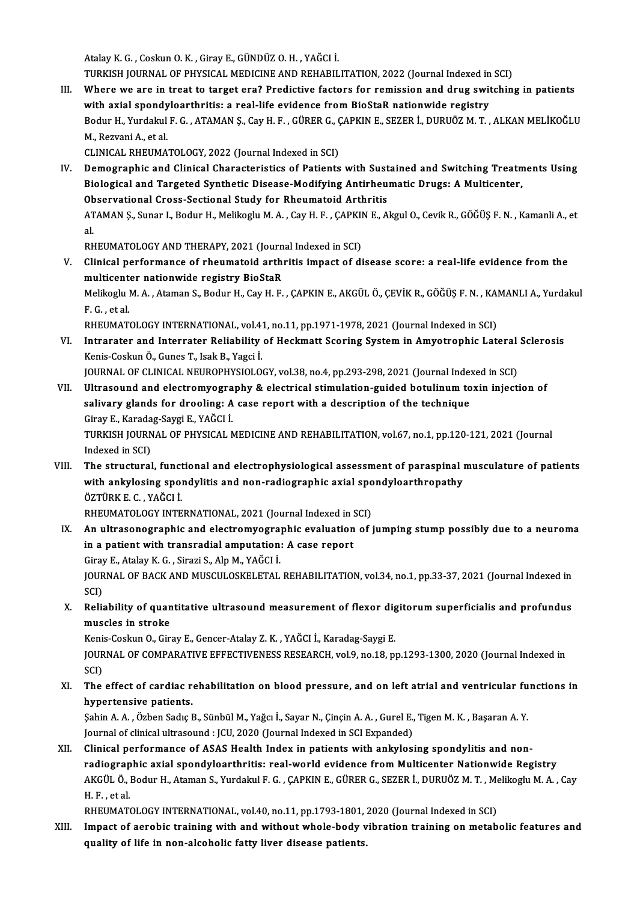AtalayK.G. ,CoskunO.K. ,GirayE.,GÜNDÜZO.H. ,YAĞCI İ.

Atalay K. G. , Coskun O. K. , Giray E., GÜNDÜZ O. H. , YAĞCI İ.<br>TURKISH JOURNAL OF PHYSICAL MEDICINE AND REHABILITATION, 2022 (Journal Indexed in SCI)<br>Where we are in treat to target are? Prodictive factors for remission a

III. Where we are in treat to target era? Predictive factors for remission and drug switching in patients TURKISH JOURNAL OF PHYSICAL MEDICINE AND REHABILITATION, 2022 (Journal Indexed in<br>Where we are in treat to target era? Predictive factors for remission and drug swit<br>with axial spondyloarthritis: a real-life evidence from Where we are in treat to target era? Predictive factors for remission and drug switching in patients<br>with axial spondyloarthritis: a real-life evidence from BioStaR nationwide registry<br>Bodur H., Yurdakul F. G. , ATAMAN Ş., with axial spondyloarthritis: a real-life evidence from BioStaR nationwide registry<br>Bodur H., Yurdakul F. G. , ATAMAN Ş., Cay H. F. , GÜRER G., ÇAPKIN E., SEZER İ., DURUÖZ M. T. ,<br>M., Rezvani A., et al.<br>CLINICAL RHEUMATOLO Bodur H., Yurdakul F. G. , ATAMAN Ş., Cay H. F. , GÜRER G., <mark>(</mark><br>M., Rezvani A., et al.<br>CLINICAL RHEUMATOLOGY, 2022 (Journal Indexed in SCI)<br>Pemegraphic and Clinical Characteristics of Patients

IV. Demographic and Clinical Characteristics of Patients with Sustained and Switching Treatments Using Biological and Targeted Synthetic Disease-Modifying Antirheumatic Drugs: AMulticenter, Observational Cross-Sectional Study for Rheumatoid Arthritis Biological and Targeted Synthetic Disease-Modifying Antirheumatic Drugs: A Multicenter,<br>Observational Cross-Sectional Study for Rheumatoid Arthritis<br>ATAMAN Ş., Sunar I., Bodur H., Melikoglu M. A. , Cay H. F. , ÇAPKIN E., A 0b<br>AT<br>al<br>pu ATAMAN Ş., Sunar I., Bodur H., Melikoglu M. A. , Cay H. F. , ÇAPKII<br>al.<br>RHEUMATOLOGY AND THERAPY, 2021 (Journal Indexed in SCI)<br>Clinical performance of rhoumateid erthritic impect of di

al.<br>RHEUMATOLOGY AND THERAPY, 2021 (Journal Indexed in SCI)<br>V. Clinical performance of rheumatoid arthritis impact of disease score: a real-life evidence from the<br>multicanter pationuide registry BioStoP RHEUMATOLOGY AND THERAPY, 2021 (Journ<br>Clinical performance of rheumatoid arthi<br>multicenter nationwide registry BioStaR<br>Melikagh M.A. Ataman S. Bodur H. Cav H. E. Clinical performance of rheumatoid arthritis impact of disease score: a real-life evidence from the<br>multicenter nationwide registry BioStaR<br>Melikoglu M. A. , Ataman S., Bodur H., Cay H. F. , ÇAPKIN E., AKGÜL Ö., ÇEVİK R., multicent<br>Melikoglu l<br>F. G. , et al.<br>PHEIMAT Melikoglu M. A. , Ataman S., Bodur H., Cay H. F. , ÇAPKIN E., AKGÜL Ö., ÇEVİK R., GÖĞÜŞ F. N. , KAI<br>F. G. , et al.<br>RHEUMATOLOGY INTERNATIONAL, vol.41, no.11, pp.1971-1978, 2021 (Journal Indexed in SCI)<br>Intranator and Inter

F. G. , et al.<br>RHEUMATOLOGY INTERNATIONAL, vol.41, no.11, pp.1971-1978, 2021 (Journal Indexed in SCI)<br>VI. Intrarater and Interrater Reliability of Heckmatt Scoring System in Amyotrophic Lateral Sclerosis<br>Konis Coskup Ö. Gu RHEUMATOLOGY INTERNATIONAL, vol.41, no.11, pp.1971-1978, 2021 (Journal Indexed in SCI)<br>Intrarater and Interrater Reliability of Heckmatt Scoring System in Amyotrophic Lateral<br>Kenis-Coskun Ö., Gunes T., Isak B., Yagci İ.<br>JO Intrarater and Interrater Reliability of Heckmatt Scoring System in Amyotrophic Lateral<br>Kenis-Coskun Ö., Gunes T., Isak B., Yagci İ.<br>JOURNAL OF CLINICAL NEUROPHYSIOLOGY, vol.38, no.4, pp.293-298, 2021 (Journal Indexed in S

VII. Ultrasound and electromyography & electrical stimulation-guided botulinum toxin injection of JOURNAL OF CLINICAL NEUROPHYSIOLOGY, vol.38, no.4, pp.293-298, 2021 (Journal Inde:<br>Ultrasound and electromyography & electrical stimulation-guided botulinum to<br>salivary glands for drooling: A case report with a description Ultrasound and electromyogra<br>salivary glands for drooling: A<br>Giray E., Karadag-Saygi E., YAĞCI İ.<br>TURKISH JOURNAL OF PHYSICAL A salivary glands for drooling: A case report with a description of the technique<br>Giray E., Karadag-Saygi E., YAĞCI İ.<br>TURKISH JOURNAL OF PHYSICAL MEDICINE AND REHABILITATION, vol.67, no.1, pp.120-121, 2021 (Journal<br>Indexed

Giray E., Karada<br>TURKISH JOURN<br>Indexed in SCI)<br>The strusturel TURKISH JOURNAL OF PHYSICAL MEDICINE AND REHABILITATION, vol.67, no.1, pp.120-121, 2021 (Journal<br>Indexed in SCI)<br>VIII. The structural, functional and electrophysiological assessment of paraspinal musculature of patients<br>wi

Indexed in SCI)<br>The structural, functional and electrophysiological assessment of paraspinal i<br>with ankylosing spondylitis and non-radiographic axial spondyloarthropathy<br>ÖZTÜRK E.G. XAČCLİ The structural, funct<br>with ankylosing spol<br>ÖZTÜRK E. C. , YAĞCI İ.<br>BHEUMATOLOCY INTE with ankylosing spondylitis and non-radiographic axial spondyloarthropathy<br>ÖZTÜRK E. C., YAĞCI İ.

RHEUMATOLOGY INTERNATIONAL, 2021 (Journal Indexed in SCI)

IX. An ultrasonographic and electromyographic evaluation of jumping stump possibly due to a neuroma

GirayE.,AtalayK.G. ,SiraziS.,AlpM.,YAĞCI İ.

in a patient with transradial amputation: A case report<br>Giray E., Atalay K. G. , Sirazi S., Alp M., YAĞCI İ.<br>JOURNAL OF BACK AND MUSCULOSKELETAL REHABILITATION, vol.34, no.1, pp.33-37, 2021 (Journal Indexed in<br>SCD Giray<br>JOUR<br>SCI)<br>Bolis JOURNAL OF BACK AND MUSCULOSKELETAL REHABILITATION, vol.34, no.1, pp.33-37, 2021 (Journal Indexed in<br>SCI)<br>X. Reliability of quantitative ultrasound measurement of flexor digitorum superficialis and profundus<br>muscles in str

SCI)<br>X. Reliability of quantitative ultrasound measurement of flexor digitorum superficialis and profundus<br>muscles in stroke Reliability of quantitative ultrasound measurement of flexor dig<br>muscles in stroke<br>Kenis-Coskun O., Giray E., Gencer-Atalay Z. K. , YAĞCI İ., Karadag-Saygi E.<br>JOUPMAL OE COMBARATIVE EEEECTIVENESS BESEARCH .val.9, ns.19, n

muscles in stroke<br>Kenis-Coskun O., Giray E., Gencer-Atalay Z. K. , YAĞCI İ., Karadag-Saygi E.<br>JOURNAL OF COMPARATIVE EFFECTIVENESS RESEARCH, vol.9, no.18, pp.1293-1300, 2020 (Journal Indexed in<br>SCD Keni<br>JOUR<br>SCI)<br>The JOURNAL OF COMPARATIVE EFFECTIVENESS RESEARCH, vol.9, no.18, pp.1293-1300, 2020 (Journal Indexed in SCI)<br>XI. The effect of cardiac rehabilitation on blood pressure, and on left atrial and ventricular functions in<br>hypertens

SCI)<br>XI. The effect of cardiac rehabilitation on blood pressure, and on left atrial and ventricular functions in<br>hypertensive patients. The effect of cardiac rehabilitation on blood pressure, and on left atrial and ventricular fu<br>hypertensive patients.<br>Şahin A. A. , Özben Sadıç B., Sünbül M., Yağcı İ., Sayar N., Çinçin A. A. , Gurel E., Tigen M. K. , Başar

hypertensive patients.<br>Şahin A. A. , Özben Sadıç B., Sünbül M., Yağcı İ., Sayar N., Çinçin A. A. , Gurel E.,<br>Journal of clinical ultrasound : JCU, 2020 (Journal Indexed in SCI Expanded)<br>Clinical nerformance of ASAS Health Sahin A. A. , Özben Sadıç B., Sünbül M., Yağcı İ., Sayar N., Çinçin A. A. , Gurel E., Tigen M. K. , Başaran A. Y.<br>Journal of clinical ultrasound : JCU, 2020 (Journal Indexed in SCI Expanded)<br>XII. Clinical performance of AS

Journal of clinical ultrasound : JCU, 2020 (Journal Indexed in SCI Expanded)<br>XII. Clinical performance of ASAS Health Index in patients with ankylosing spondylitis and non-<br>radiographic axial spondyloarthritis: real-world Clinical performance of ASAS Health Index in patients with ankylosing spondylitis and non-<br>radiographic axial spondyloarthritis: real-world evidence from Multicenter Nationwide Registry<br>AKGÜL Ö., Bodur H., Ataman S., Yurda r<mark>adiograp</mark><br>AKGÜL Ö., I<br>H. F. , et al.<br>PHEUMAT AKGÜL Ö., Bodur H., Ataman S., Yurdakul F. G. , ÇAPKIN E., GÜRER G., SEZER İ., DURUÖZ M. T. , Me<br>H. F. , et al.<br>RHEUMATOLOGY INTERNATIONAL, vol.40, no.11, pp.1793-1801, 2020 (Journal Indexed in SCI)<br>Impect of eersphis trai

H. F. , et al.<br>RHEUMATOLOGY INTERNATIONAL, vol.40, no.11, pp.1793-1801, 2020 (Journal Indexed in SCI)<br>XIII. Impact of aerobic training with and without whole-body vibration training on metabolic features and<br>avality of lif RHEUMATOLOGY INTERNATIONAL, vol.40, no.11, pp.1793-1801,<br>Impact of aerobic training with and without whole-body v<br>quality of life in non-alcoholic fatty liver disease patients.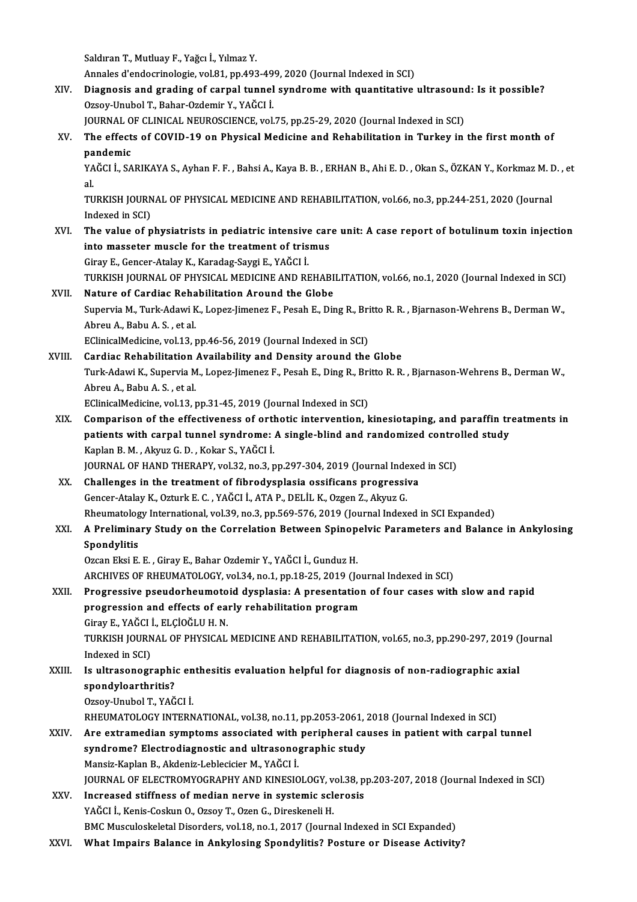Saldıran T., Mutluay F., Yağcı İ., Yılmaz Y.

Annales d'endocrinologie, vol.81, pp.493-499, 2020 (Journal Indexed in SCI)

Saldıran T., Mutluay F., Yağcı İ., Yılmaz Y.<br>Annales d'endocrinologie, vol.81, pp.493-499, 2020 (Journal Indexed in SCI)<br>XIV. Diagnosis and grading of carpal tunnel syndrome with quantitative ultrasound: Is it possible Annales d'endocrinologie, vol.81, pp.493-49<br>Diagnosis and grading of carpal tunnel<br>Ozsoy-Unubol T., Bahar-Ozdemir Y., YAĞCI İ.<br>JOUPMAL OF CLINICAL NEUPOSCIENCE xol Diagnosis and grading of carpal tunnel syndrome with quantitative ultrasoune<br>Ozsoy-Unubol T., Bahar-Ozdemir Y., YAĞCI İ.<br>JOURNAL OF CLINICAL NEUROSCIENCE, vol.75, pp.25-29, 2020 (Journal Indexed in SCI)<br>The effects of COVI

Ozsoy-Unubol T., Bahar-Ozdemir Y., YAĞCI İ.<br>JOURNAL OF CLINICAL NEUROSCIENCE, vol.75, pp.25-29, 2020 (Journal Indexed in SCI)<br>XV. The effects of COVID-19 on Physical Medicine and Rehabilitation in Turkey in the first mo JOURNAL OF CLINICAL NEUROSCIENCE, vol.75, pp.25-29, 2020 (Journal Indexed in SCI)<br>The effects of COVID-19 on Physical Medicine and Rehabilitation in Turkey in the first month of<br>pandemic<br>YAĞCI İ., SARIKAYA S., Ayhan F. F. The effects of COVID-19 on Physical Medicine and Rehabilitation in Turkey in the first month of<br>pandemic<br>YAĞCI İ., SARIKAYA S., Ayhan F. F. , Bahsi A., Kaya B. B. , ERHAN B., Ahi E. D. , Okan S., ÖZKAN Y., Korkmaz M. D. ,

**pa**<br>YA<br>Tu YAĞCI İ., SARIKAYA S., Ayhan F. F. , Bahsi A., Kaya B. B. , ERHAN B., Ahi E. D. , Okan S., ÖZKAN Y., Korkmaz M. I<br>al.<br>TURKISH JOURNAL OF PHYSICAL MEDICINE AND REHABILITATION, vol.66, no.3, pp.244-251, 2020 (Journal<br>Indoved

al<br>TURKISH JOURN<br>Indexed in SCI)<br>The value of n TURKISH JOURNAL OF PHYSICAL MEDICINE AND REHABILITATION, vol.66, no.3, pp.244-251, 2020 (Journal<br>Indexed in SCI)<br>XVI. The value of physiatrists in pediatric intensive care unit: A case report of botulinum toxin injection<br>i

Indexed in SCI)<br>XVI. The value of physiatrists in pediatric intensive care unit: A case report of botulinum toxin injection<br>into masseter muscle for the treatment of trismus

GirayE.,Gencer-AtalayK.,Karadag-SaygiE.,YAĞCI İ. into masseter muscle for the treatment of trismus<br>Giray E., Gencer-Atalay K., Karadag-Saygi E., YAĞCI İ.<br>TURKISH JOURNAL OF PHYSICAL MEDICINE AND REHABILITATION, vol.66, no.1, 2020 (Journal Indexed in SCI)<br>Nature of Cardia Giray E., Gencer-Atalay K., Karadag-Saygi E., YAĞCI İ.<br>TURKISH JOURNAL OF PHYSICAL MEDICINE AND REHABI<br>XVII. Nature of Cardiac Rehabilitation Around the Globe<br>Supervis M. Turk Adavi K. Langz limanez E. Basah E. Dir

TURKISH JOURNAL OF PHYSICAL MEDICINE AND REHABILITATION, vol.66, no.1, 2020 (Journal Indexed in SCI)<br>Nature of Cardiac Rehabilitation Around the Globe<br>Supervia M., Turk-Adawi K., Lopez-Jimenez F., Pesah E., Ding R., Britto **Nature of Cardiac Reha<br>Supervia M., Turk-Adawi K<br>Abreu A., Babu A. S. , et al.<br>EClinicalMedicine vol 13, .** Supervia M., Turk-Adawi K., Lopez-Jimenez F., Pesah E., Ding R., Bri<br>Abreu A., Babu A. S. , et al.<br>EClinicalMedicine, vol.13, pp.46-56, 2019 (Journal Indexed in SCI)<br>Cardiae Bababilitation, Availability and Dansity around

Abreu A., Babu A. S. , et al.<br>EClinicalMedicine, vol.13, pp.46-56, 2019 (Journal Indexed in SCI)<br>XVIII. Cardiac Rehabilitation Availability and Density around the Globe EClinicalMedicine, vol.13, pp.46-56, 2019 (Journal Indexed in SCI)<br>Cardiac Rehabilitation Availability and Density around the Globe<br>Turk-Adawi K., Supervia M., Lopez-Jimenez F., Pesah E., Ding R., Britto R. R. , Bjarnason-Cardiac Rehabilitation<br>Turk-Adawi K., Supervia M<br>Abreu A., Babu A. S. , et al.<br>EClinicalMedicine vol 13

EClinicalMedicine, vol.13, pp.31-45, 2019 (Journal Indexed in SCI)

- Abreu A., Babu A. S. , et al.<br>EClinicalMedicine, vol.13, pp.31-45, 2019 (Journal Indexed in SCI)<br>XIX. Comparison of the effectiveness of orthotic intervention, kinesiotaping, and paraffin treatments in<br>nationts with sarpel EClinicalMedicine, vol.13, pp.31-45, 2019 (Journal Indexed in SCI)<br>Comparison of the effectiveness of orthotic intervention, kinesiotaping, and paraffin tr<br>patients with carpal tunnel syndrome: A single-blind and randomize Comparison of the effectiveness of orthologient<br>patients with carpal tunnel syndrome:<br>Kaplan B. M. , Akyuz G. D. , Kokar S., YAĞCI İ.<br>JOUPNAL OF HAND TUERARY vol 32 no 3 n patients with carpal tunnel syndrome: A single-blind and randomized controlled study<br>Kaplan B. M. , Akyuz G. D. , Kokar S., YAĞCI İ.<br>JOURNAL OF HAND THERAPY, vol.32, no.3, pp.297-304, 2019 (Journal Indexed in SCI)
- XX. Challenges in the treatment of fibrodysplasia ossificans progressiva Gencer-AtalayK.,OzturkE.C. ,YAĞCI İ.,ATAP.,DELİLK.,OzgenZ.,AkyuzG. Challenges in the treatment of fibrodysplasia ossificans progressiva<br>Gencer-Atalay K., Ozturk E. C. , YAĞCI İ., ATA P., DELİL K., Ozgen Z., Akyuz G.<br>Rheumatology International, vol.39, no.3, pp.569-576, 2019 (Journal Index

### XXI. A Preliminary Study on the Correlation Between Spinopelvic Parameters and Balance in Ankylosing Rheumatolog<br>A Prelimina<br>Spondylitis<br>Ozean Elsi E

Ozcan Eksi E. E., Giray E., Bahar Ozdemir Y., YAĞCI İ., Gunduz H. Spondylitis<br>Ozcan Eksi E. E. , Giray E., Bahar Ozdemir Y., YAĞCI İ., Gunduz H.<br>ARCHIVES OF RHEUMATOLOGY, vol.34, no.1, pp.18-25, 2019 (Journal Indexed in SCI)<br>Progressive pseuderbeumeteid dysplasja: A presentation of four

### Ozcan Eksi E. E. , Giray E., Bahar Ozdemir Y., YAĞCI İ., Gunduz H.<br>ARCHIVES OF RHEUMATOLOGY, vol.34, no.1, pp.18-25, 2019 (Journal Indexed in SCI)<br>XXII. Progressive pseudorheumotoid dysplasia: A presentation of four cases ARCHIVES OF RHEUMATOLOGY, vol.34, no.1, pp.18-25, 2019 (Journal Progressive pseudorheumotoid dysplasia: A presentation<br>progression and effects of early rehabilitation program<br>Ciroy E. VAČCLI, ELCIOČLU H.N Progressive pseudorheumoto<br>progression and effects of ea:<br>Giray E., YAĞCI İ., ELÇİOĞLU H. N.<br>TURKISH JOURNAL OF PHYSICAL progression and effects of early rehabilitation program<br>Giray E., YAĞCI İ., ELÇİOĞLU H. N.<br>TURKISH JOURNAL OF PHYSICAL MEDICINE AND REHABILITATION, vol.65, no.3, pp.290-297, 2019 (Journal<br>Indoved in SCD. Giray E., YAĞCI<br>TURKISH JOURN<br>Indexed in SCI)<br>Is ultrasonogr TURKISH JOURNAL OF PHYSICAL MEDICINE AND REHABILITATION, vol.65, no.3, pp.290-297, 2019 (<br>Indexed in SCI)<br>XXIII. Is ultrasonographic enthesitis evaluation helpful for diagnosis of non-radiographic axial<br>spondylearthritic?

# Indexed in SCI)<br>Is ultrasonographie<br>spondyloarthritis?<br>Orsey Unubel T. YAČ Is ultrasonographic en<br>spondyloarthritis?<br>Ozsoy-Unubol T., YAĞCI İ.<br>PHEUMATOLOCY INTERN spondyloarthritis?<br>Ozsoy-Unubol T., YAĞCI İ.<br>RHEUMATOLOGY INTERNATIONAL, vol.38, no.11, pp.2053-2061, 2018 (Journal Indexed in SCI)<br>Are extremedian symptoms assosiated with norinberal sauses in patient with sarpal

- Ozsoy-Unubol T., YAĞCI İ.<br>RHEUMATOLOGY INTERNATIONAL, vol.38, no.11, pp.2053-2061, 2018 (Journal Indexed in SCI)<br>XXIV. Are extramedian symptoms associated with peripheral causes in patient with carpal tunnel RHEUMATOLOGY INTERNATIONAL, vol.38, no.11, pp.2053-2061, :<br>Are extramedian symptoms associated with peripheral can<br>syndrome? Electrodiagnostic and ultrasonographic study<br>Mansir Kaplan B. Alcioniz Loblesisian M. YAČCLI Are extramedian symptoms associated with<br>syndrome? Electrodiagnostic and ultrasono<sub>!</sub><br>Mansiz-Kaplan B., Akdeniz-Leblecicier M., YAĞCI İ.<br>JOUPNAL OF ELECTROMYOCRAPHY AND KINESIO syndrome? Electrodiagnostic and ultrasonographic study<br>Mansiz-Kaplan B., Akdeniz-Leblecicier M., YAĞCI İ.<br>JOURNAL OF ELECTROMYOGRAPHY AND KINESIOLOGY, vol.38, pp.203-207, 2018 (Journal Indexed in SCI)<br>Ineresseed stiffness Mansiz-Kaplan B., Akdeniz-Leblecicier M., YAĞCI İ.<br>JOURNAL OF ELECTROMYOGRAPHY AND KINESIOLOGY, vol.38, p.<br>XXV. Increased stiffness of median nerve in systemic sclerosis<br>VAČCI İ. Kapis Coslava O. Ozey T. Ozea C. Dineskapel
- JOURNAL OF ELECTROMYOGRAPHY AND KINESIOLOGY, v<br>Increased stiffness of median nerve in systemic scl<br>YAĞCI İ., Kenis-Coskun O., Ozsoy T., Ozen G., Direskeneli H.<br>PMC Museuloskalatal Disordars vol 19, no.1, 2017 (Journa XXV. Increased stiffness of median nerve in systemic sclerosis<br>YAĞCI İ., Kenis-Coskun O., Ozsoy T., Ozen G., Direskeneli H.<br>BMC Musculoskeletal Disorders, vol.18, no.1, 2017 (Journal Indexed in SCI Expanded)
- XXVI. What Impairs Balance in Ankylosing Spondylitis? Posture or Disease Activity?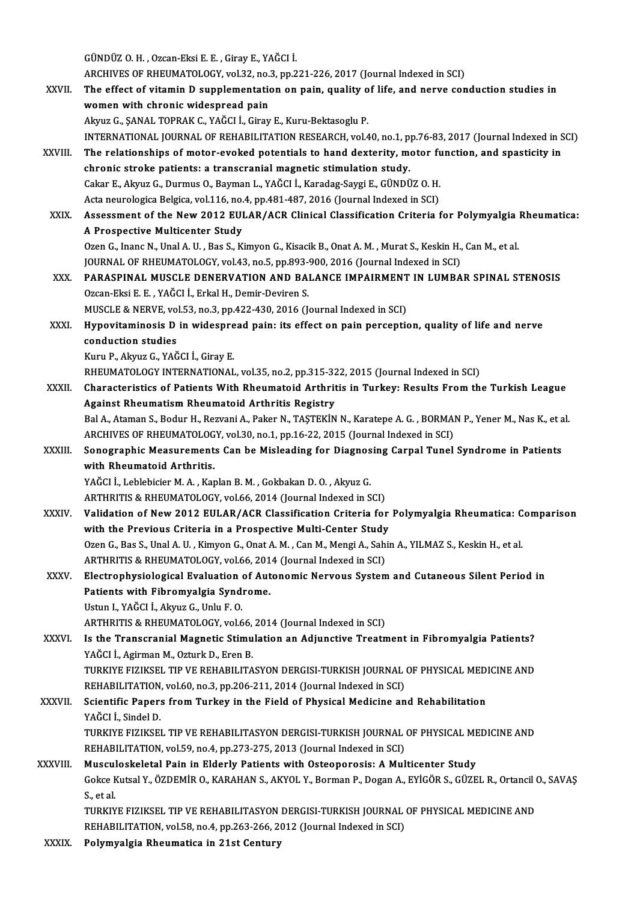GÜNDÜZO.H. ,Ozcan-EksiE.E. ,GirayE.,YAĞCI İ.

GÜNDÜZ O. H. , Ozcan-Eksi E. E. , Giray E., YAĞCI İ.<br>ARCHIVES OF RHEUMATOLOGY, vol.32, no.3, pp.221-226, 2017 (Journal Indexed in SCI)<br>The effect of vitemin D sunnlementation on nain, suality of life, and news sen

GÜNDÜZ O. H. , Ozcan-Eksi E. E. , Giray E., YAĞCI İ.<br>ARCHIVES OF RHEUMATOLOGY, vol.32, no.3, pp.221-226, 2017 (Journal Indexed in SCI)<br>XXVII. The effect of vitamin D supplementation on pain, quality of life, and nerve ARCHIVES OF RHEUMATOLOGY, vol.32, no.<br>The effect of vitamin D supplementation<br>women with chronic widespread pain<br>Alpus C SANAL TOPRAK C VAČCLI Cinev The effect of vitamin D supplementation on pain, quality of life, and nerve conduction studies in<br>women with chronic widespread pain<br>Akyuz G., ŞANAL TOPRAK C., YAĞCI İ., Giray E., Kuru-Bektasoglu P. INTERNATIONAL JOURNAL OF REHABILITATION RESEARCH, vol.40, no.1, pp.76-83, 2017 (Journal Indexed in SCI) Akyuz G., ŞANAL TOPRAK C., YAĞCI İ., Giray E., Kuru-Bektasoglu P.<br>INTERNATIONAL JOURNAL OF REHABILITATION RESEARCH, vol.40, no.1, pp.76-83, 2017 (Journal Indexed in S<br>XXVIII. The relationships of motor-evoked potentials to INTERNATIONAL JOURNAL OF REHABILITATION RESEARCH, vol.40, no.1, p<br>The relationships of motor-evoked potentials to hand dexterity, mothronic stroke patients: a transcranial magnetic stimulation study.<br>Cakar E. Algun C. Durm The relationships of motor-evoked potentials to hand dexterity, motor fundance of the patients: a transcranial magnetic stimulation study.<br>Cakar E., Akyuz G., Durmus O., Bayman L., YAĞCI İ., Karadag-Saygi E., GÜNDÜZ O. H.<br> chronic stroke patients: a transcranial magnetic stimulation study.<br>Cakar E., Akyuz G., Durmus O., Bayman L., YAĞCI İ., Karadag-Saygi E., GÜNDÜZ O. H.<br>Acta neurologica Belgica, vol.116, no.4, pp.481-487, 2016 (Journal Inde Cakar E., Akyuz G., Durmus O., Bayman L., YAĞCI İ., Karadag-Saygi E., GÜNDÜZ O. H.<br>Acta neurologica Belgica, vol.116, no.4, pp.481-487, 2016 (Journal Indexed in SCI)<br>XXIX. Assessment of the New 2012 EULAR/ACR Clinical Clas Acta neurologica Belgica, vol.116, no.<br>Assessment of the New 2012 EUI<br>A Prospective Multicenter Study<br>Ozen G. Inane N. Hual A. H., Bas S. K. Ozen G., Inanc N., Unal A. U., Bas S., Kimyon G., Kisacik B., Onat A. M., Murat S., Keskin H., Can M., et al. A Prospective Multicenter Study<br>Ozen G., Inanc N., Unal A. U. , Bas S., Kimyon G., Kisacik B., Onat A. M. , Murat S., Keskin H.,<br>JOURNAL OF RHEUMATOLOGY, vol.43, no.5, pp.893-900, 2016 (Journal Indexed in SCI)<br>RARASPINAL M Ozen G., Inanc N., Unal A. U. , Bas S., Kimyon G., Kisacik B., Onat A. M. , Murat S., Keskin H., Can M., et al.<br>JOURNAL OF RHEUMATOLOGY, vol.43, no.5, pp.893-900, 2016 (Journal Indexed in SCI)<br>XXX. PARASPINAL MUSCLE DENERV JOURNAL OF RHEUMATOLOGY, vol.43, no.5, pp.893-4<br>PARASPINAL MUSCLE DENERVATION AND BAI<br>Ozcan-Eksi E. E. , YAĞCI İ., Erkal H., Demir-Deviren S.<br>MUSCLE & NEPVE vol.53, no.3, np.422,420, 2016 (L PARASPINAL MUSCLE DENERVATION AND BALANCE IMPAIRMENT<br>Ozcan-Eksi E. E. , YAĞCI İ., Erkal H., Demir-Deviren S.<br>MUSCLE & NERVE, vol.53, no.3, pp.422-430, 2016 (Journal Indexed in SCI)<br>Hunovitaminesis D. in wideonroed nain; it Ozcan-Eksi E. E. , YAĞCI İ., Erkal H., Demir-Deviren S.<br>MUSCLE & NERVE, vol.53, no.3, pp.422-430, 2016 (Journal Indexed in SCI)<br>XXXI. Hypovitaminosis D in widespread pain: its effect on pain perception, quality of life and MUSCLE & NERVE, vol.53, no.3, pp.422-430, 2016 (Journal Indexed in SCI) KuruP.,AkyuzG.,YAĞCI İ.,GirayE. conduction studies<br>Kuru P., Akyuz G., YAĞCI İ., Giray E.<br>RHEUMATOLOGY INTERNATIONAL, vol.35, no.2, pp.315-322, 2015 (Journal Indexed in SCI)<br>Charactoristics of Bationts With Bhoumatoid Arthritis in Turkow Bosults From th XXXII. Characteristics of Patients With Rheumatoid Arthritis in Turkey: Results From the Turkish League<br>Against Rheumatism Rheumatoid Arthritis Registry RHEUMATOLOGY INTERNATIONAL, vol.35, no.2, pp.315-32<br>Characteristics of Patients With Rheumatoid Arthritis<br>Against Rheumatism Rheumatoid Arthritis Registry<br>Pal A Ataman S. Podur H. Pervani A. Paker N. TASTEVIN Characteristics of Patients With Rheumatoid Arthritis in Turkey: Results From the Turkish League<br>Against Rheumatism Rheumatoid Arthritis Registry<br>Bal A., Ataman S., Bodur H., Rezvani A., Paker N., TAŞTEKİN N., Karatepe A. Against Rheumatism Rheumatoid Arthritis Registry<br>Bal A., Ataman S., Bodur H., Rezvani A., Paker N., TAŞTEKİN N., Karatepe A. G. , BORMAl<br>ARCHIVES OF RHEUMATOLOGY, vol.30, no.1, pp.16-22, 2015 (Journal Indexed in SCI)<br>Sanag Bal A., Ataman S., Bodur H., Rezvani A., Paker N., TAŞTEKİN N., Karatepe A. G. , BORMAN P., Yener M., Nas K., et a<br>ARCHIVES OF RHEUMATOLOGY, vol.30, no.1, pp.16-22, 2015 (Journal Indexed in SCI)<br>XXXIII. Sonographic Measure ARCHIVES OF RHEUMATOLOGY, vol.30, no.1, pp.16-22, 2015 (Journal Indexed in SCI)<br>Sonographic Measurements Can be Misleading for Diagnosing Carpal Tunel<br>with Rheumatoid Arthritis.<br>YAĞCI İ., Leblebicier M. A., Kaplan B. M., G Sonographic Measurements Can be Misleading for Diagnosing Carpal Tunel Syndrome in Patients <mark>with Rheumatoid Arthritis.</mark><br>YAĞCI İ., Leblebicier M. A. , Kaplan B. M. , Gokbakan D. O. , Akyuz G.<br>ARTHRITIS & RHEUMATOLOGY, vol.66, 2014 (Journal Indexed in SCI)<br>Volidation of Now 2012 EUJ AB (ACB Clossifisation Critania YAĞCI İ., Leblebicier M. A. , Kaplan B. M. , Gokbakan D. O. , Akyuz G.<br>ARTHRITIS & RHEUMATOLOGY, vol.66, 2014 (Journal Indexed in SCI)<br>XXXIV. Validation of New 2012 EULAR/ACR Classification Criteria for Polymyalgia Rhe ARTHRITIS & RHEUMATOLOGY, vol.66, 2014 (Journal Indexed in SCI)<br>Validation of New 2012 EULAR/ACR Classification Criteria for<br>with the Previous Criteria in a Prospective Multi-Center Study<br>Ozen G. Bes S. Unal A. U. Kimyan G Validation of New 2012 EULAR/ACR Classification Criteria for Polymyalgia Rheumatica: C<br>with the Previous Criteria in a Prospective Multi-Center Study<br>Ozen G., Bas S., Unal A.U. , Kimyon G., Onat A. M. , Can M., Mengi A., S with the Previous Criteria in a Prospective Multi-Center Study<br>Ozen G., Bas S., Unal A. U. , Kimyon G., Onat A. M. , Can M., Mengi A., Sahi<br>ARTHRITIS & RHEUMATOLOGY, vol.66, 2014 (Journal Indexed in SCI)<br>Electrophysiologic Ozen G., Bas S., Unal A. U. , Kimyon G., Onat A. M. , Can M., Mengi A., Sahin A., YILMAZ S., Keskin H., et al.<br>ARTHRITIS & RHEUMATOLOGY, vol.66, 2014 (Journal Indexed in SCI)<br>XXXV. Electrophysiological Evaluation of Aut ARTHRITIS & RHEUMATOLOGY, vol.66, 201<br>Electrophysiological Evaluation of Aut<br>Patients with Fibromyalgia Syndrome.<br>Hatun L. YAČCLİ, Alunu C. Halu E. O Patients with Fibromyalgia Syndrome.<br>Ustun I., YAĞCI İ., Akvuz G., Unlu F. O. ARTHRITIS & RHEUMATOLOGY, vol.66, 2014 (Journal Indexed in SCI) Ustun I., YAĞCI İ., Akyuz G., Unlu F. O.<br>ARTHRITIS & RHEUMATOLOGY, vol.66, 2014 (Journal Indexed in SCI)<br>XXXVI. Is the Transcranial Magnetic Stimulation an Adjunctive Treatment in Fibromyalgia Patients?<br>VAČCLI, Agirman M. ARTHRITIS & RHEUMATOLOGY, vol.66,<br>Is the Transcranial Magnetic Stimu<br>YAĞCI İ., Agirman M., Ozturk D., Eren B.<br>TURKIVE FIZIKSEL TIR VE REHARILITA Is the Transcranial Magnetic Stimulation an Adjunctive Treatment in Fibromyalgia Patients?<br>YAĞCI İ., Agirman M., Ozturk D., Eren B.<br>TURKIYE FIZIKSEL TIP VE REHABILITASYON DERGISI-TURKISH JOURNAL OF PHYSICAL MEDICINE AND<br>RE YAĞCI İ., Agirman M., Ozturk D., Eren B.<br>TURKIYE FIZIKSEL TIP VE REHABILITASYON DERGISI-TURKISH JOURNAL<br>REHABILITATION, vol.60, no.3, pp.206-211, 2014 (Journal Indexed in SCI)<br>Ssientifis Baners from Turkey in the Eield of TURKIYE FIZIKSEL TIP VE REHABILITASYON DERGISI-TURKISH JOURNAL OF PHYSICAL MEDICINE AND<br>REHABILITATION, vol.60, no.3, pp.206-211, 2014 (Journal Indexed in SCI)<br>XXXVII. Scientific Papers from Turkey in the Field of Physical REHABILITATION<br>Scientific Paper:<br>YAĞCI İ., Sindel D.<br>TURKIVE EIZIKSE Scientific Papers from Turkey in the Field of Physical Medicine and Rehabilitation<br>YAĞCI İ., Sindel D.<br>TURKIYE FIZIKSEL TIP VE REHABILITASYON DERGISI-TURKISH JOURNAL OF PHYSICAL MEDICINE AND<br>REHABILITATION vel 50 no.4 np.2 YAĞCI İ., Sindel D.<br>TURKIYE FIZIKSEL TIP VE REHABILITASYON DERGISI-TURKISH JOURNAL<br>REHABILITATION, vol.59, no.4, pp.273-275, 2013 (Journal Indexed in SCI)<br>Museuloskelatel Bein in Elderly Betients with Osteononosis: A Mul TURKIYE FIZIKSEL TIP VE REHABILITASYON DERGISI-TURKISH JOURNAL OF PHYSICAL ME<br>REHABILITATION, vol.59, no.4, pp.273-275, 2013 (Journal Indexed in SCI)<br>XXXVIII. Musculoskeletal Pain in Elderly Patients with Osteoporosis: A M REHABILITATION, vol.59, no.4, pp.273-275, 2013 (Journal Indexed in SCI)<br>Musculoskeletal Pain in Elderly Patients with Osteoporosis: A Multicenter Study<br>Gokce Kutsal Y., ÖZDEMİR O., KARAHAN S., AKYOL Y., Borman P., Dogan A. Muscul<br>Gokce F<br>S., et al.<br>TUDKIV Gokce Kutsal Y., ÖZDEMİR O., KARAHAN S., AKYOL Y., Borman P., Dogan A., EYİGÖR S., GÜZEL R., Ortancil (<br>S., et al.<br>TURKIYE FIZIKSEL TIP VE REHABILITASYON DERGISI-TURKISH JOURNAL OF PHYSICAL MEDICINE AND<br>REHABILITATION .val S., et al.<br>TURKIYE FIZIKSEL TIP VE REHABILITASYON DERGISI-TURKISH JOURNAL<br>REHABILITATION, vol.58, no.4, pp.263-266, 2012 (Journal Indexed in SCI)<br>Relymyslsia Rhoumatise in 31st Contuny TURKIYE FIZIKSEL TIP VE REHABILITASYON<br>REHABILITATION, vol.58, no.4, pp.263-266, 2<br>XXXIX. Polymyalgia Rheumatica in 21st Century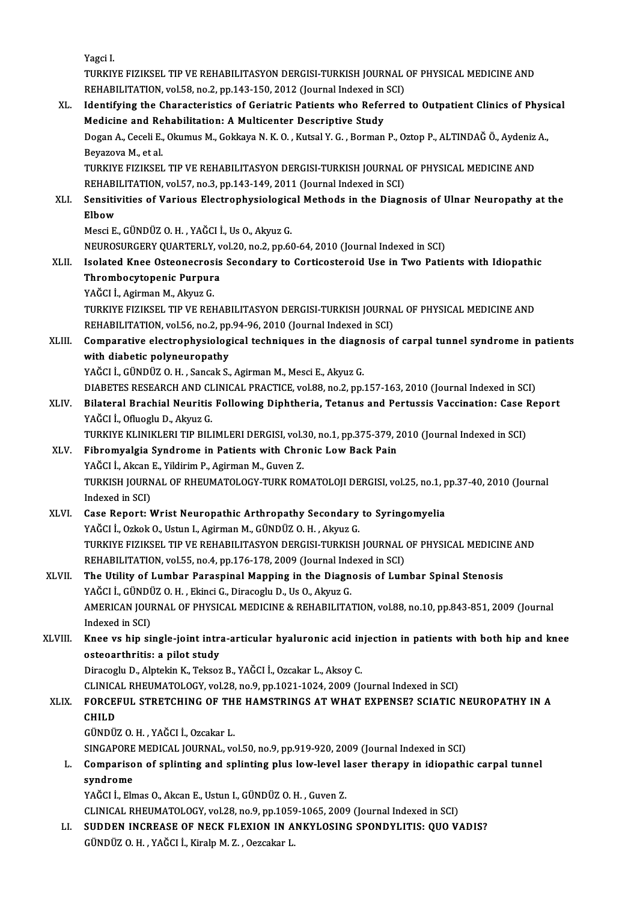|         | Yagci I                                                                                                                                                          |
|---------|------------------------------------------------------------------------------------------------------------------------------------------------------------------|
|         | TURKIYE FIZIKSEL TIP VE REHABILITASYON DERGISI-TURKISH JOURNAL OF PHYSICAL MEDICINE AND                                                                          |
|         | REHABILITATION, vol.58, no.2, pp.143-150, 2012 (Journal Indexed in SCI)                                                                                          |
| XL.     | Identifying the Characteristics of Geriatric Patients who Referred to Outpatient Clinics of Physical                                                             |
|         | Medicine and Rehabilitation: A Multicenter Descriptive Study                                                                                                     |
|         | Dogan A., Ceceli E., Okumus M., Gokkaya N. K. O., Kutsal Y. G., Borman P., Oztop P., ALTINDAĞ Ö., Aydeniz A.,<br>Beyazova M., et al.                             |
|         | TURKIYE FIZIKSEL TIP VE REHABILITASYON DERGISI-TURKISH JOURNAL OF PHYSICAL MEDICINE AND                                                                          |
|         | REHABILITATION, vol.57, no.3, pp.143-149, 2011 (Journal Indexed in SCI)                                                                                          |
| XLI.    | Sensitivities of Various Electrophysiological Methods in the Diagnosis of Ulnar Neuropathy at the                                                                |
|         | Elbow                                                                                                                                                            |
|         | Mesci E., GÜNDÜZ O. H., YAĞCI İ., Us O., Akyuz G.                                                                                                                |
|         | NEUROSURGERY QUARTERLY, vol.20, no.2, pp.60-64, 2010 (Journal Indexed in SCI)                                                                                    |
| XLII.   | Isolated Knee Osteonecrosis Secondary to Corticosteroid Use in Two Patients with Idiopathic                                                                      |
|         | Thrombocytopenic Purpura                                                                                                                                         |
|         | YAĞCI İ., Agirman M., Akyuz G.                                                                                                                                   |
|         | TURKIYE FIZIKSEL TIP VE REHABILITASYON DERGISI-TURKISH JOURNAL OF PHYSICAL MEDICINE AND<br>REHABILITATION, vol.56, no.2, pp.94-96, 2010 (Journal Indexed in SCI) |
| XLIII.  | Comparative electrophysiological techniques in the diagnosis of carpal tunnel syndrome in patients                                                               |
|         | with diabetic polyneuropathy                                                                                                                                     |
|         | YAĞCI İ., GÜNDÜZ O. H., Sancak S., Agirman M., Mesci E., Akyuz G.                                                                                                |
|         | DIABETES RESEARCH AND CLINICAL PRACTICE, vol.88, no.2, pp.157-163, 2010 (Journal Indexed in SCI)                                                                 |
| XLIV.   | Bilateral Brachial Neuritis Following Diphtheria, Tetanus and Pertussis Vaccination: Case Report                                                                 |
|         | YAĞCI İ., Ofluoglu D., Akyuz G.                                                                                                                                  |
|         | TURKIYE KLINIKLERI TIP BILIMLERI DERGISI, vol.30, no.1, pp.375-379, 2010 (Journal Indexed in SCI)                                                                |
| XLV.    | Fibromyalgia Syndrome in Patients with Chronic Low Back Pain                                                                                                     |
|         | YAĞCI İ., Akcan E., Yildirim P., Agirman M., Guven Z.<br>TURKISH JOURNAL OF RHEUMATOLOGY-TURK ROMATOLOJI DERGISI, vol.25, no.1, pp.37-40, 2010 (Journal          |
|         | Indexed in SCI)                                                                                                                                                  |
| XLVI.   | Case Report: Wrist Neuropathic Arthropathy Secondary to Syringomyelia                                                                                            |
|         | YAĞCI İ., Ozkok O., Ustun I., Agirman M., GÜNDÜZ O. H., Akyuz G.                                                                                                 |
|         | TURKIYE FIZIKSEL TIP VE REHABILITASYON DERGISI-TURKISH JOURNAL OF PHYSICAL MEDICINE AND                                                                          |
|         | REHABILITATION, vol.55, no.4, pp.176-178, 2009 (Journal Indexed in SCI)                                                                                          |
| XLVII.  | The Utility of Lumbar Paraspinal Mapping in the Diagnosis of Lumbar Spinal Stenosis                                                                              |
|         | YAĞCI İ., GÜNDÜZ O. H., Ekinci G., Diracoglu D., Us O., Akyuz G.                                                                                                 |
|         | AMERICAN JOURNAL OF PHYSICAL MEDICINE & REHABILITATION, vol.88, no.10, pp.843-851, 2009 (Journal                                                                 |
| XLVIII. | Indexed in SCI)<br>Knee vs hip single-joint intra-articular hyaluronic acid injection in patients with both hip and knee                                         |
|         | osteoarthritis: a pilot study                                                                                                                                    |
|         | Diracoglu D., Alptekin K., Teksoz B., YAĞCI İ., Ozcakar L., Aksoy C.                                                                                             |
|         | CLINICAL RHEUMATOLOGY, vol.28, no.9, pp.1021-1024, 2009 (Journal Indexed in SCI)                                                                                 |
| XLIX.   | FORCEFUL STRETCHING OF THE HAMSTRINGS AT WHAT EXPENSE? SCIATIC NEUROPATHY IN A                                                                                   |
|         | <b>CHILD</b>                                                                                                                                                     |
|         | GÜNDÜZ O.H., YAĞCI İ., Ozcakar L.                                                                                                                                |
|         | SINGAPORE MEDICAL JOURNAL, vol.50, no.9, pp.919-920, 2009 (Journal Indexed in SCI)                                                                               |
| L.      | Comparison of splinting and splinting plus low-level laser therapy in idiopathic carpal tunnel                                                                   |
|         | syndrome<br>YAĞCI İ., Elmas O., Akcan E., Ustun I., GÜNDÜZ O. H., Guven Z.                                                                                       |
|         | CLINICAL RHEUMATOLOGY, vol.28, no.9, pp.1059-1065, 2009 (Journal Indexed in SCI)                                                                                 |
| LI.     | SUDDEN INCREASE OF NECK FLEXION IN ANKYLOSING SPONDYLITIS: QUO VADIS?                                                                                            |
|         | GÜNDÜZ O.H., YAĞCI İ., Kiralp M.Z., Oezcakar L.                                                                                                                  |
|         |                                                                                                                                                                  |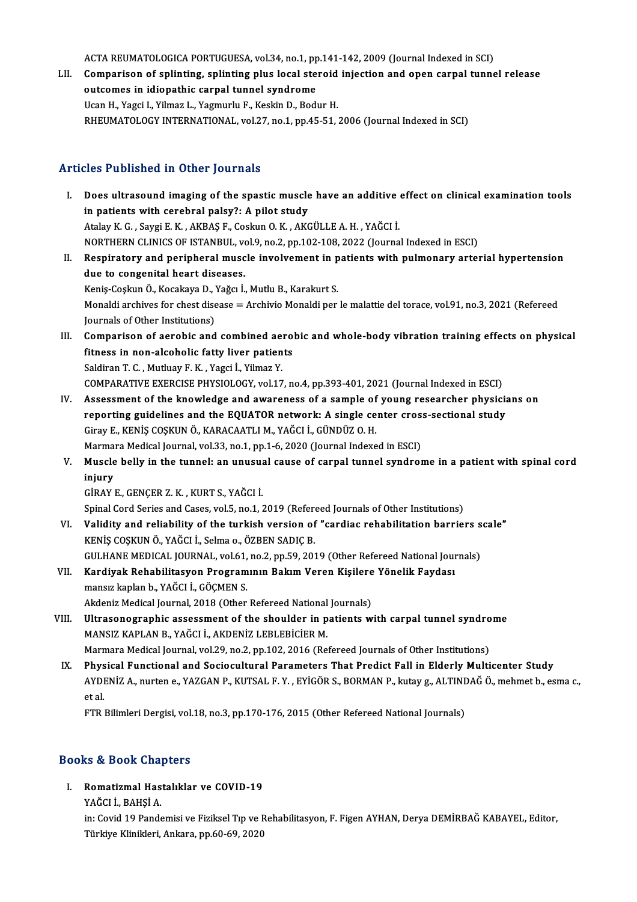ACTA REUMATOLOGICA PORTUGUESA, vol.34, no.1, pp.141-142, 2009 (Journal Indexed in SCI)<br>Comparison of splinting, enlinting plus local staneid injection and enen cannal tunne

LII. Comparison of splinting, splinting plus local steroid injection and open carpal tunnel release<br>outcomes in idiopathic carpal tunnel syndrome ACTA REUMATOLOGICA PORTUGUESA, vol.34, no.1, pp<br>Comparison of splinting, splinting plus local ste<br>outcomes in idiopathic carpal tunnel syndrome Ucan H., Yagci I., Yilmaz L., Yagmurlu F., Keskin D., Bodur H. RHEUMATOLOGY INTERNATIONAL, vol.27, no.1, pp.45-51, 2006 (Journal Indexed in SCI)

### Articles Published in Other Journals

I. Does ultrasound imaging of the spastic muscle have an additive effect on clinical examination tools in patients with cerebral palsy?: A pilot study AtalayK.G. ,SaygiE.K. ,AKBAŞ F.,CoskunO.K. ,AKGÜLLEA.H. ,YAĞCI İ. in patients with cerebral palsy?: A pilot study<br>Atalay K. G. , Saygi E. K. , AKBAŞ F., Coskun O. K. , AKGÜLLE A. H. , YAĞCI İ.<br>NORTHERN CLINICS OF ISTANBUL, vol.9, no.2, pp.102-108, 2022 (Journal Indexed in ESCI)<br>Bespirato Atalay K. G. , Saygi E. K. , AKBAŞ F., Coskun O. K. , AKGÜLLE A. H. , YAĞCI İ.<br>NORTHERN CLINICS OF ISTANBUL, vol.9, no.2, pp.102-108, 2022 (Journal Indexed in ESCI)<br>II. Respiratory and peripheral muscle involvement in pati NORTHERN CLINICS OF ISTANBUL, vo<br>Respiratory and peripheral musc<br>due to congenital heart diseases.<br>Kanis Coslun Ö. Kosakava D. Važar İ. Respiratory and peripheral muscle involvement in p<br>due to congenital heart diseases.<br>Keniş-Coşkun Ö., Kocakaya D., Yağcı İ., Mutlu B., Karakurt S.<br>Manakli arebiyes for sheet disease — Arebiyie Manakli ner due to congenital heart diseases.<br>Keniş-Coşkun Ö., Kocakaya D., Yağcı İ., Mutlu B., Karakurt S.<br>Monaldi archives for chest disease = Archivio Monaldi per le malattie del torace, vol.91, no.3, 2021 (Refereed Keniş-Coşkun Ö., Kocakaya D., '<br>Monaldi archives for chest dise<br>Journals of Other Institutions)<br>Comparison of espehis and Monaldi archives for chest disease = Archivio Monaldi per le malattie del torace, vol.91, no.3, 2021 (Refereed<br>Journals of Other Institutions)<br>III. Comparison of aerobic and combined aerobic and whole-body vibration traini Journals of Other Institutions)<br>Comparison of aerobic and combined aero<br>fitness in non-alcoholic fatty liver patients<br>Saldiran T.C. Muthov E.K., Yaggi L.Yilmar V. Comparison of aerobic and combined ae:<br>fitness in non-alcoholic fatty liver patien<br>Saldiran T.C., Mutluay F.K., Yagci İ., Yilmaz Y.<br>COMBARATIVE EXERCISE BUYSIOLOCY, vol 17 Saldiran T. C. , Mutluay F. K. , Yagci İ., Yilmaz Y.<br>COMPARATIVE EXERCISE PHYSIOLOGY, vol.17, no.4, pp.393-401, 2021 (Journal Indexed in ESCI) IV. Assessment of the knowledge and awareness of a sample of young researcher physicians on COMPARATIVE EXERCISE PHYSIOLOGY, vol.17, no.4, pp.393-401, 2021 (Journal Indexed in ESCI)<br>Assessment of the knowledge and awareness of a sample of young researcher physicial<br>reporting guidelines and the EQUATOR network: A Assessment of the knowledge and awareness of a sample of<br>reporting guidelines and the EQUATOR network: A single ce<br>Giray E., KENİŞ COŞKUN Ö., KARACAATLI M., YAĞCI İ., GÜNDÜZ O. H.<br>Marmara Madisal Jaurnal val 33 no 1 nn 1 6 reporting guidelines and the EQUATOR network: A single center cros:<br>Giray E., KENİŞ COŞKUN Ö., KARACAATLI M., YAĞCI İ., GÜNDÜZ O. H.<br>Marmara Medical Journal, vol.33, no.1, pp.1-6, 2020 (Journal Indexed in ESCI)<br>Musele bell Giray E., KENİŞ COŞKUN Ö., KARACAATLI M., YAĞCI İ., GÜNDÜZ O. H.<br>Marmara Medical Journal, vol.33, no.1, pp.1-6, 2020 (Journal Indexed in ESCI)<br>V. Muscle belly in the tunnel: an unusual cause of carpal tunnel syndrome i Marmara Medical Journal, vol.33, no.1, pp.1-6, 2020 (Journal Indexed in ESCI)<br>Muscle belly in the tunnel: an unusual cause of carpal tunnel syndroi<br>injury<br>GİRAY E., GENÇER Z. K., KURT S., YAĞCI İ. Muscle belly in the tunnel: an unusua<br>injury<br>GİRAY E., GENÇER Z. K. , KURT S., YAĞCI İ.<br>Sninel Cerd Series and Cases vel 5. no.1.1 Spinal Cord Series and Cases, vol.5, no.1, 2019 (Refereed Journals of Other Institutions) GİRAY E., GENÇER Z. K. , KURT S., YAĞCI İ.<br>Spinal Cord Series and Cases, vol.5, no.1, 2019 (Refereed Journals of Other Institutions)<br>VI. Validity and reliability of the turkish version of "cardiac rehabilitation barriers s KENİŞ COŞKUN Ö., YAĞCI İ., Selma o., ÖZBEN SADIÇ B.<br>GULHANE MEDICAL JOURNAL, vol.61, no.2, pp.59, 2019 (Other Refereed National Journals) Validity and reliability of the turkish version of "cardiac rehabilitation barriers s<br>KENİŞ COŞKUN Ö., YAĞCI İ., Selma o., ÖZBEN SADIÇ B.<br>GULHANE MEDICAL JOURNAL, vol.61, no.2, pp.59, 2019 (Other Refereed National Journals KENİŞ COŞKUN Ö., YAĞCI İ., Selma o., ÖZBEN SADIÇ B.<br>GULHANE MEDICAL JOURNAL, vol.61, no.2, pp.59, 2019 (Other Refereed National Jour<br>VII. Kardiyak Rehabilitasyon Programının Bakım Veren Kişilere Yönelik Faydası<br>mangız kapl GULHANE MEDICAL JOURNAL, vol.61,<br>Kardiyak Rehabilitasyon Program<br>mansız kaplan b., YAĞCI İ., GÖÇMEN S.<br>Akdaniz Madisəl Journal, 2018 (Other Kardiyak Rehabilitasyon Programının Bakım Veren Kişilere<br>mansız kaplan b., YAĞCI İ., GÖÇMEN S.<br>Akdeniz Medical Journal, 2018 (Other Refereed National Journals)<br>Illtresenegraphic assessment of the shoulder in patients w mansız kaplan b., YAĞCI İ., GÖÇMEN S.<br>Akdeniz Medical Journal, 2018 (Other Refereed National Journals)<br>VIII. Ultrasonographic assessment of the shoulder in patients with carpal tunnel syndrome<br>MANSIZ KAPLAN B., YAĞCI İ Akdeniz Medical Journal, 2018 (Other Refereed National Journals) Marmara Medical Journal, vol.29, no.2, pp.102, 2016 (Refereed Journals of Other Institutions) MANSIZ KAPLAN B., YAĞCI İ., AKDENİZ LEBLEBİCİER M.<br>Marmara Medical Journal, vol.29, no.2, pp.102, 2016 (Refereed Journals of Other Institutions)<br>IX. Physical Functional and Sociocultural Parameters That Predict Fall in Eld Marmara Medical Journal, vol.29, no.2, pp.102, 2016 (Refereed Journals of Other Institutions)<br>Physical Functional and Sociocultural Parameters That Predict Fall in Elderly Multicenter Study<br>AYDENİZ A., nurten e., YAZGAN P. Phys<br>AYDI<br>et al.<br>ETB AYDENİZ A., nurten e., YAZGAN P., KUTSAL F. Y. , EYİGÖR S., BORMAN P., kutay g., ALTINDAĞ Ö., mehmet b., esma c.,<br>et al.<br>FTR Bilimleri Dergisi, vol.18, no.3, pp.170-176, 2015 (Other Refereed National Journals)

### Books&Book Chapters

I. Romatizmal Hastalıklar ve COVID-19 YAĞCI İ.,BAHŞİA. Romatizmal Hastalıklar ve COVID-19<br>YAĞCI İ., BAHŞİ A.<br>in: Covid 19 Pandemisi ve Fiziksel Tıp ve Rehabilitasyon, F. Figen AYHAN, Derya DEMİRBAĞ KABAYEL, Editor,<br>Türkiye Klinikleri, Arkara, np.60,69,2020 YAĞCI İ., BAHŞİ A.<br>in: Covid 19 Pandemisi ve Fiziksel Tıp ve F<br>Türkiye Klinikleri, Ankara, pp.60-69, 2020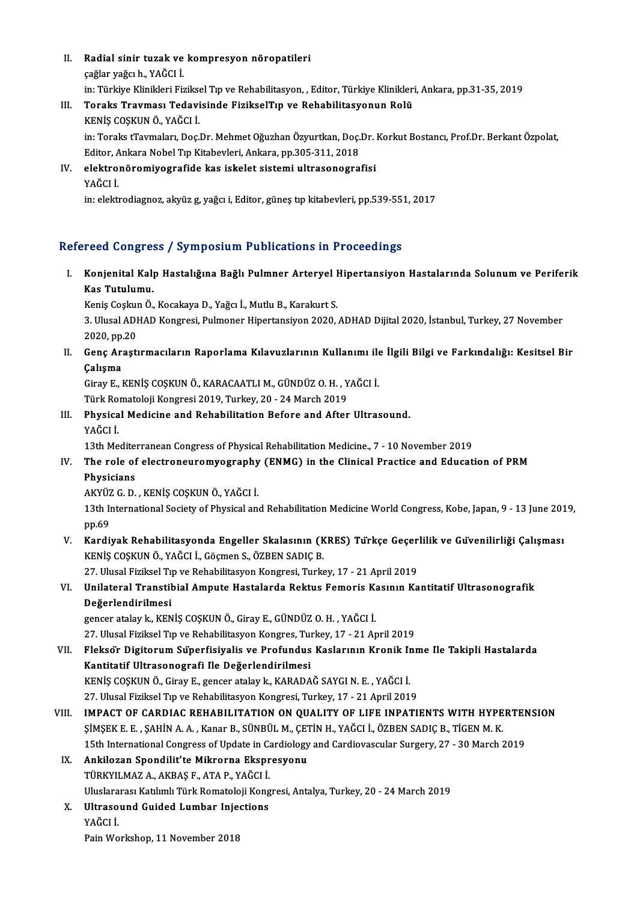II. Radial sinir tuzak ve kompresyon nöropatileri<br>Seğlerveğe bu YAČCLİ **Radial sinir tuzak ve<br>çağlar yağcıh., YAĞCI İ.<br>in: Türkiye Klinikleri Fir** Radial sinir tuzak ve kompresyon nöropatileri<br>çağlar yağcı h., YAĞCI İ.<br>in: Türkiye Klinikleri Fiziksel Tıp ve Rehabilitasyon, , Editor, Türkiye Klinikleri, Ankara, pp.31-35, 2019<br>Tonaka Traymaay Tadavisinde FizikaalTın ve çağlar yağcı h., YAĞCI İ.<br>in: Türkiye Klinikleri Fiziksel Tıp ve Rehabilitasyon, , Editor, Türkiye Klinikler<br>III. Toraks Travması Tedavisinde FizikselTıp ve Rehabilitasyonun Rolü<br>KENİŞ COŞKUN Ö., YAĞCI İ.

in: Türkiye Klinikleri Fizikse<br><mark>Toraks Travması Tedavi</mark><br>KENİŞ COŞKUN Ö., YAĞCI İ.<br>in: Toraks tTaymaları, Dos İ.

Toraks Travması Tedavisinde FizikselTıp ve Rehabilitasyonun Rolü<br>KENİŞ COŞKUN Ö., YAĞCI İ.<br>in: Toraks tTavmaları, Doç.Dr. Mehmet Oğuzhan Özyurtkan, Doç.Dr. Korkut Bostancı, Prof.Dr. Berkant Özpolat,<br>Editor, Ankara Nobel Tı KENİŞ COŞKUN Ö., YAĞCI İ.<br>in: Toraks tTavmaları, Doç.Dr. Mehmet Oğuzhan Özyurtkan, Doç.<br>Editor, Ankara Nobel Tıp Kitabevleri, Ankara, pp.305-311, 2018<br>elektronöromiyasınıfide kas iskelet sistemi ultrasonasına Editor, Ankara Nobel Tıp Kitabevleri, Ankara, pp.305-311, 2018

IV. elektronöromiyografide kas iskelet sistemi ultrasonografisi

in: elektrodiagnoz, akyüz g, yağcı i, Editor, güneş tıp kitabevleri, pp.539-551, 2017

### Refereed Congress / Symposium Publications in Proceedings

efereed Congress / Symposium Publications in Proceedings<br>I. Konjenital Kalp Hastalığına Bağlı Pulmner Arteryel Hipertansiyon Hastalarında Solunum ve Periferik<br>Kes Tutulumu rood dongro.<br>Konjenital Kal<sub>l</sub><br>Kas Tutulumu.<br><sup>Konje Cochun Ö</sup> Kas Tutulumu.<br>Keniş Coşkun Ö., Kocakaya D., Yağcı İ., Mutlu B., Karakurt S.

Kas Tutulumu.<br>Keniş Coşkun Ö., Kocakaya D., Yağcı İ., Mutlu B., Karakurt S.<br>3. Ulusal ADHAD Kongresi, Pulmoner Hipertansiyon 2020, ADHAD Dijital 2020, İstanbul, Turkey, 27 November<br>2020, np.20 Keniş Coşkul<br>3. Ulusal ADI<br>2020, pp.20<br>Cana Arasti 3. Ulusal ADHAD Kongresi, Pulmoner Hipertansiyon 2020, ADHAD Dijital 2020, İstanbul, Turkey, 27 November<br>2020, pp.20<br>II. Genç Araştırmacıların Raporlama Kılavuzlarının Kullanımı ile İlgili Bilgi ve Farkındalığı: Kesits

# 2020, pp.20<br>II. Genç Araştırmacıların Raporlama Kılavuzlarının Kullanımı ile İlgili Bilgi ve Farkındalığı: Kesitsel Bir<br>Çalışma Genç Araştırmacıların Raporlama Kılavuzlarının Kullanımı ile<br>Çalışma<br>Giray E., KENİŞ COŞKUN Ö., KARACAATLI M., GÜNDÜZ O. H. , YAĞCI İ.<br>Türk Bomataleji Kongresi 2019, Turkey 20, 24 Marsh 2019

Çalışma<br>Giray E., KENİŞ COŞKUN Ö., KARACAATLI M., GÜNDÜZ O. H. , Y<br>Türk Romatoloji Kongresi 2019, Turkey, 20 - 24 March 2019<br>Physisal Modisine and Behabilitation Before and After

Türk Romatoloji Kongresi 2019, Turkey, 20 - 24 March 2019

III. Physical Medicine and Rehabilitation Before and After Ultrasound.<br>YAĞCI İ. Physical Medicine and Rehabilitation Before and After Ultrasound.<br>YAĞCI İ.<br>13th Mediterranean Congress of Physical Rehabilitation Medicine., 7 - 10 November 2019<br>The role of electronouromyography (ENMC) in the Clinical Pre

# YAĞCI İ.<br>13th Mediterranean Congress of Physical Rehabilitation Medicine., 7 - 10 November 2019<br>IV. The role of electroneuromyography (ENMG) in the Clinical Practice and Education of PRM<br>Physicians 13th Medite:<br>The role of<br>Physicians<br>AKYÜZ G D The role of electroneuromyography<br>Physicians<br>AKYÜZ G. D. , KENİŞ COŞKUN Ö., YAĞCI İ.<br>12th International Sosiaty of Physical anı

Physicians<br>AKYÜZ G. D. , KENİŞ COŞKUN Ö., YAĞCI İ.<br>13th International Society of Physical and Rehabilitation Medicine World Congress, Kobe, Japan, 9 - 13 June 2019,<br>nn 60 AKYÜZ<br>13th II<br>pp.69<br>Kardi 13th International Society of Physical and Rehabilitation Medicine World Congress, Kobe, Japan, 9 - 13 June 201<br>1996)<br>V. Kardiyak Rehabilitasyonda Engeller Skalasının (KRES) Türkçe Geçerlilik ve Güvenilirliği Çalışması<br>199

pp.69<br>Kardiyak Rehabilitasyonda Engeller Skalasının (K<br>KENİŞ COŞKUN Ö., YAĞCI İ., Göçmen S., ÖZBEN SADIÇ B.<br>27 Hlusel Firikael Tın ve Behabilitasyon Kongresi Turka Kardiyak Rehabilitasyonda Engeller Skalasının (KRES) Türkçe Geçer<br>KENİŞ COŞKUN Ö., YAĞCI İ., Göçmen S., ÖZBEN SADIÇ B.<br>27. Ulusal Fiziksel Tıp ve Rehabilitasyon Kongresi, Turkey, 17 - 21 April 2019<br>Unilateral Transtibial A

### KENİŞ COŞKUN Ö., YAĞCI İ., Göçmen S., ÖZBEN SADIÇ B.<br>27. Ulusal Fiziksel Tıp ve Rehabilitasyon Kongresi, Turkey, 17 - 21 April 2019<br>VI. Unilateral Transtibial Ampute Hastalarda Rektus Femoris Kasının Kantitatif Ultraso 27. Ulusal Fiziksel Ti<br>Unilateral Transtil<br>Değerlendirilmesi<br>senceratalark KEN Unilateral Transtibial Ampute Hastalarda Rektus Femoris K.<br>Değerlendirilmesi<br>gencer atalay k., KENİŞ COŞKUN Ö., Giray E., GÜNDÜZ O. H. , YAĞCI İ.<br>27 Hlucel Eirikeel Tın ve Behabilitasyon Kongres Turkey 17 - 21 Ar Değerlendirilmesi<br>19. gencer atalay k., KENİŞ COŞKUN Ö., Giray E., GÜNDÜZ O. H. , YAĞCI İ.<br>27. Ulusal Fiziksel Tıp ve Rehabilitasyon Kongres, Turkey, 17 - 21 April 2019

# gencer atalay k., KENİŞ COŞKUN Ö., Giray E., GÜNDÜZ O. H. , YAĞCI İ.<br>27. Ulusal Fiziksel Tıp ve Rehabilitasyon Kongres, Turkey, 17 - 21 April 2019<br>VII. Fleksör Digitorum Süperfisiyalis ve Profundus Kaslarının Kronik In Kantitatif Ultrasonografi İle Değerlendirilmesi<br>KENİŞ COŞKUN Ö., Giray E., gencer atalay k., KARADAĞ SAYGI N. E. , YAĞCI İ. Fleksőr Digitorum Süperfisiyalis ve Profundus Kaslarının Kronik Ir<br>Kantitatif Ultrasonografi Ile Değerlendirilmesi<br>KENİŞ COŞKUN Ö., Giray E., gencer atalay k., KARADAĞ SAYGI N. E. , YAĞCI İ.<br>27 Hlucel Firikael Tın ve Behab

27. Ulusal Fiziksel Tıp ve Rehabilitasyon Kongresi, Turkey, 17 - 21 April 2019

- KENİŞ COŞKUN Ö., Giray E., gencer atalay k., KARADAĞ SAYGI N. E. , YAĞCI İ.<br>27. Ulusal Fiziksel Tıp ve Rehabilitasyon Kongresi, Turkey, 17 21 April 2019<br>VIII. **IMPACT OF CARDIAC REHABILITATION ON QUALITY OF LIFE INPATI** 27. Ulusal Fiziksel Tıp ve Rehabilitasyon Kongresi, Turkey, 17 - 21 April 2019<br>IMPACT OF CARDIAC REHABILITATION ON QUALITY OF LIFE INPATIENTS WITH HYPE<br>ŞİMŞEK E. E. , ŞAHİN A. A. , Kanar B., SÜNBÜL M., ÇETİN H., YAĞCI İ., IMPACT OF CARDIAC REHABILITATION ON QUALITY OF LIFE INPATIENTS WITH HYPERTEN<br>ŞİMŞEK E. E. , ŞAHİN A. A. , Kanar B., SÜNBÜL M., ÇETİN H., YAĞCI İ., ÖZBEN SADIÇ B., TİGEN M. K.<br>15th International Congress of Update in Cardio ŞİMŞEK E. E. , ŞAHİN A. A. , Kanar B., SÜNBÜL M., ÇETİN H., YAĞCI İ., ÖZBEN SADIÇ B., TİGEN M. K.<br>15th International Congress of Update in Cardiology and Cardiovascular Surgery, 27 - 30 March 2<br>IX. Ankilozan Spondilit'
- 15th International Congress of Update in Canadia<br>Ankilozan Spondilit'te Mikrorna Ekspr<br>TÜRKYILMAZ A., AKBAŞ F., ATA P., YAĞCI İ. Uluslararası Katılımlı Türk Romatoloji Kongresi, Antalya, Turkey, 20 - 24 March 2019 TÜRKYILMAZ A., AKBAŞ F., ATA P., YAĞCI İ.<br>Uluslararası Katılımlı Türk Romatoloji Kong<br>X. Ultrasound Guided Lumbar Injections<br>VAĞCI İ
- Uluslara<br><mark>Ultraso</mark><br>YAĞCI İ. <mark>Ultrasound Guided Lumbar Inje</mark><br>YAĞCI İ.<br>Pain Workshop, 11 November 2018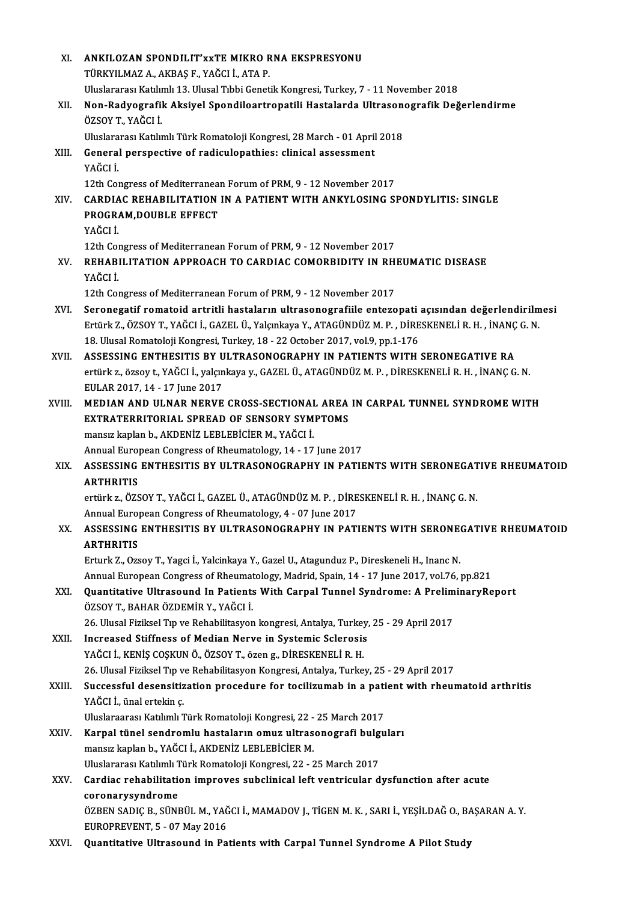| XI.    | ANKILOZAN SPONDILIT'XXTE MIKRO RNA EKSPRESYONU                                                                         |
|--------|------------------------------------------------------------------------------------------------------------------------|
|        | TÜRKYILMAZ A., AKBAŞ F., YAĞCI İ., ATA P.                                                                              |
|        | Uluslararası Katılımlı 13. Ulusal Tıbbi Genetik Kongresi, Turkey, 7 - 11 November 2018                                 |
| XII.   | Non-Radyografik Aksiyel Spondiloartropatili Hastalarda Ultrasonografik Değerlendirme<br>ÖZSOY T., YAĞCI İ.             |
|        | Uluslararası Katılımlı Türk Romatoloji Kongresi, 28 March - 01 April 2018                                              |
| XIII.  | General perspective of radiculopathies: clinical assessment                                                            |
|        | YAĞCI İ.                                                                                                               |
|        | 12th Congress of Mediterranean Forum of PRM, 9 - 12 November 2017                                                      |
| XIV.   | <b>CARDIAC REHABILITATION IN A PATIENT WITH ANKYLOSING SPONDYLITIS: SINGLE</b>                                         |
|        | PROGRAM, DOUBLE EFFECT                                                                                                 |
|        | YAĞCI İ                                                                                                                |
|        | 12th Congress of Mediterranean Forum of PRM, 9 - 12 November 2017                                                      |
| XV.    | REHABILITATION APPROACH TO CARDIAC COMORBIDITY IN RHEUMATIC DISEASE<br>YAĞCI İ                                         |
|        | 12th Congress of Mediterranean Forum of PRM, 9 - 12 November 2017                                                      |
| XVI.   | Seronegatif romatoid artritli hastaların ultrasonografiile entezopati açısından değerlendirilmesi                      |
|        | Ertürk Z., ÖZSOY T., YAĞCI İ., GAZEL Ü., Yalçınkaya Y., ATAGÜNDÜZ M. P., DİRESKENELİ R. H., İNANÇ G. N.                |
|        | 18. Ulusal Romatoloji Kongresi, Turkey, 18 - 22 October 2017, vol.9, pp.1-176                                          |
| XVII.  | ASSESSING ENTHESITIS BY ULTRASONOGRAPHY IN PATIENTS WITH SERONEGATIVE RA                                               |
|        | ertürk z., özsoy t., YAĞCI İ., yalçınkaya y., GAZEL Ü., ATAGÜNDÜZ M. P., DİRESKENELİ R. H., İNANÇ G. N.                |
|        | EULAR 2017, 14 - 17 June 2017                                                                                          |
| XVIII. | MEDIAN AND ULNAR NERVE CROSS-SECTIONAL AREA IN CARPAL TUNNEL SYNDROME WITH                                             |
|        | EXTRATERRITORIAL SPREAD OF SENSORY SYMPTOMS                                                                            |
|        | mansız kaplan b., AKDENİZ LEBLEBİCİER M., YAĞCI İ.                                                                     |
|        | Annual European Congress of Rheumatology, 14 - 17 June 2017                                                            |
| XIX.   | ASSESSING ENTHESITIS BY ULTRASONOGRAPHY IN PATIENTS WITH SERONEGATIVE RHEUMATOID                                       |
|        | <b>ARTHRITIS</b>                                                                                                       |
|        | ertürk z., ÖZSOY T., YAĞCI İ., GAZEL Ü., ATAGÜNDÜZ M. P., DİRESKENELİ R. H., İNANÇ G. N.                               |
|        | Annual European Congress of Rheumatology, 4 - 07 June 2017                                                             |
| XX.    | ASSESSING ENTHESITIS BY ULTRASONOGRAPHY IN PATIENTS WITH SERONEGATIVE RHEUMATOID<br><b>ARTHRITIS</b>                   |
|        | Erturk Z., Ozsoy T., Yagci İ., Yalcinkaya Y., Gazel U., Atagunduz P., Direskeneli H., Inanc N.                         |
|        | Annual European Congress of Rheumatology, Madrid, Spain, 14 - 17 June 2017, vol.76, pp.821                             |
| XXI.   | Quantitative Ultrasound In Patients With Carpal Tunnel Syndrome: A PreliminaryReport                                   |
|        | ÖZSOY T., BAHAR ÖZDEMİR Y., YAĞCI İ.                                                                                   |
|        | 26. Ulusal Fiziksel Tıp ve Rehabilitasyon kongresi, Antalya, Turkey, 25 - 29 April 2017                                |
| XXII.  | Increased Stiffness of Median Nerve in Systemic Sclerosis                                                              |
|        | YAĞCI İ., KENİŞ COŞKUN Ö., ÖZSOY T., özen g., DİRESKENELİ R. H.                                                        |
|        | 26. Ulusal Fiziksel Tıp ve Rehabilitasyon Kongresi, Antalya, Turkey, 25 - 29 April 2017                                |
| XXIII. | Successful desensitization procedure for tocilizumab in a patient with rheumatoid arthritis                            |
|        | YAĞCI İ., ünal ertekin ç                                                                                               |
|        | Uluslaraarası Katılımlı Türk Romatoloji Kongresi, 22 - 25 March 2017                                                   |
| XXIV   | Karpal tünel sendromlu hastaların omuz ultrasonografi bulguları                                                        |
|        | mansız kaplan b., YAĞCI İ., AKDENİZ LEBLEBİCİER M.                                                                     |
|        | Uluslararası Katılımlı Türk Romatoloji Kongresi, 22 - 25 March 2017                                                    |
| XXV.   | Cardiac rehabilitation improves subclinical left ventricular dysfunction after acute                                   |
|        | coronarysyndrome<br>ÖZBEN SADIÇ B., SÜNBÜL M., YAĞCI İ., MAMADOV J., TİGEN M. K. , SARI İ., YEŞİLDAĞ O., BAŞARAN A. Y. |
|        | EUROPREVENT, 5 - 07 May 2016                                                                                           |
| XXVI.  | Quantitative Ultrasound in Patients with Carpal Tunnel Syndrome A Pilot Study                                          |
|        |                                                                                                                        |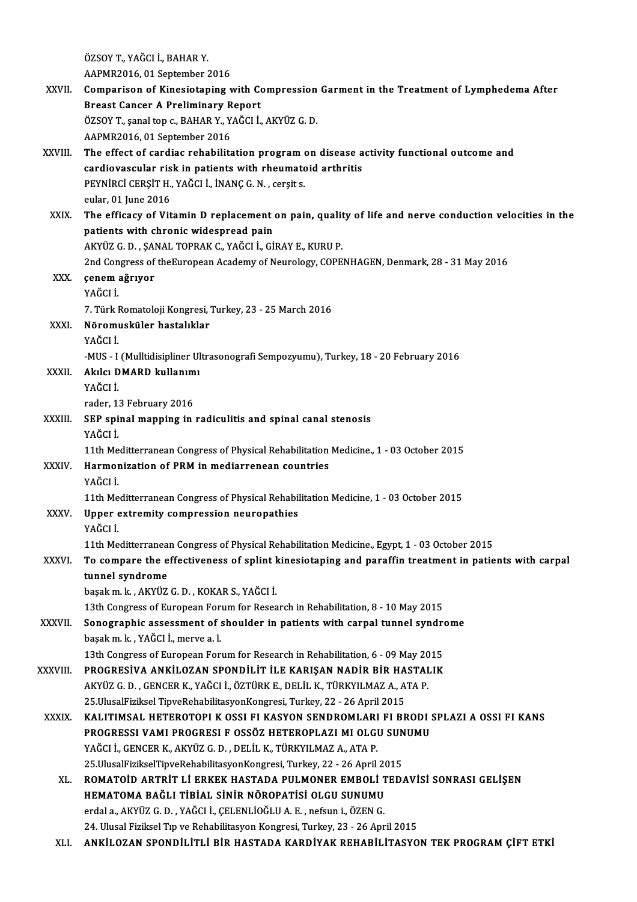- ÖZSOYT.,YAĞCI İ.,BAHARY. AAPMR2016,01 September 2016 ÖZSOY T., YAĞCI İ., BAHAR Y.<br>AAPMR2016, 01 September 2016<br>XXVII. Comparison of Kinesiotaping with Compression Garment in the Treatment of Lymphedema After<br>Presst Conser A Preliminary Penert AAPMR2016, 01 September 2016<br>Comparison of Kinesiotaping with Co<br>Breast Cancer A Preliminary Report<br>ÖZSOV T. sanal tan a BAHAB V. YAČCLİ Comparison of Kinesiotaping with Compression<br>Breast Cancer A Preliminary Report<br>ÖZSOY T., şanal top c., BAHAR Y., YAĞCI İ., AKYÜZ G. D.<br>AABMP2016, 01 Santamber 2016 Breast Cancer A Preliminary Report<br>ÖZSOY T., şanal top c., BAHAR Y., YAĞCI İ., AKYÜZ G. D.<br>AAPMR2016, 01 September 2016 ÖZSOY T., şanal top c., BAHAR Y., YAĞCI İ., AKYÜZ G. D.<br>AAPMR2016, 01 September 2016<br>XXVIII. The effect of cardiac rehabilitation program on disease activity functional outcome and<br>cardiavascular risk in patients with AAPMR2016, 01 September 2016<br>The effect of cardiac rehabilitation program on disease a<br>cardiovascular risk in patients with rheumatoid arthritis<br>prynipci cepsit u - vačcui - inanc c- n - cepsit s The effect of cardiac rehabilitation program or<br>cardiovascular risk in patients with rheumato<br>PEYNİRCİ CERŞİT H., YAĞCI İ., İNANÇ G.N. , cerşit s. cardiovascular risk in patients with rheumatoid arthritis<br>PEYNİRCİ CERŞİT H., YAĞCI İ., İNANÇ G. N. , cerşit s.<br>eular, 01 June 2016 PEYNIRCI CERŞİT H., YAĞCI İ., İNANÇ G. N. , cerşit s.<br>eular, 01 June 2016<br>XXIX. The efficacy of Vitamin D replacement on pain, quality of life and nerve conduction velocities in the<br>patients with shronis widespreed pain. eular, 01 June 2016<br>The efficacy of Vitamin D replacement<br>patients with chronic widespread pain<br>AKVÜZ C.D., SANAL TOPRAK C. VAČCLL CL The efficacy of Vitamin D replacement on pain, qualit<br>patients with chronic widespread pain<br>AKYÜZ G. D. , ŞANAL TOPRAK C., YAĞCI İ., GİRAY E., KURU P.<br>2nd Congress of theEuronean Asedemy of Neurolegy, COBE patients with chronic widespread pain<br>AKYÜZ G. D. , ŞANAL TOPRAK C., YAĞCI İ., GİRAY E., KURU P.<br>2nd Congress of theEuropean Academy of Neurology, COPENHAGEN, Denmark, 28 - 31 May 2016<br>2000m ağruyor XXX. çenemağrıyor 2nd Con<br>çenem<br>YAĞCI İ.<br>7 Türk I çenem ağrıyor<br>YAĞCI İ.<br>7. Türk Romatoloji Kongresi, Turkey, 23 - 25 March 2016<br>Nöromusküler bestelikler YAĞCI İ.<br>7. Türk Romatoloji Kongresi, '<br>XXXI. Nöromusküler hastalıklar<br>YAĞCI İ 7. Türk I<br>N<mark>öromı</mark><br>YAĞCI İ. Nöromusküler hastalıklar<br>YAĞCI İ.<br>-MUS - I (Mulltidisipliner Ultrasonografi Sempozyumu), Turkey, 18 - 20 February 2016<br>Alrla: DMARD İrullanımı YAĞCI İ.<br>-MUS - I (Mulltidisipliner Ul<br>XXXII. Akılcı DMARD kullanımı<br>- YAĞCI İ. -MUS - I<br>Akılcı D<br>YAĞCI İ.<br>rader 1. rader, 13 February 2016 YAĞCI İ.<br>rader, 13 February 2016<br>XXXIII. SEP spinal mapping in radiculitis and spinal canal stenosis<br>vačcı i rader, 1:<br><mark>SEP spi</mark><br>YAĞCI İ.<br>11tb Me SEP spinal mapping in radiculitis and spinal canal stenosis<br>YAĞCI İ.<br>11th Meditterranean Congress of Physical Rehabilitation Medicine., 1 - 03 October 2015<br>Harmonization of PPM in mediarranean countries. YAĞCI İ.<br>11th Meditterranean Congress of Physical Rehabilitation<br>XXXIV. Harmonization of PRM in mediarrenean countries<br>YAĞCI İ. 11th Me<br>Harmor<br>YAĞCI İ.<br><sup>11th Mo</sup> Harmonization of PRM in mediarrenean countries<br>YAĞCI İ.<br>11th Meditterranean Congress of Physical Rehabilitation Medicine, 1 - 03 October 2015<br>Unner extremity compression neuronathies YAĞCI İ.<br>11th Meditterranean Congress of Physical Rehabil<br>XXXV. Upper extremity compression neuropathies<br>VAČCI İ 11th Me<br><mark>Upper e</mark><br>YAĞCI İ. Upper extremity compression neuropathies<br>YAĞCI İ.<br>11th Meditterranean Congress of Physical Rehabilitation Medicine., Egypt, 1 - 03 October 2015<br>Te semnare the effectiveness of splint kinesistening and pereffin treatment in YAĞCI İ.<br>11th Meditterranean Congress of Physical Rehabilitation Medicine., Egypt, 1 - 03 October 2015<br>XXXVI. To compare the effectiveness of splint kinesiotaping and paraffin treatment in patients with carpal<br>tunnel syndr 11th Meditterranea<br>To compare the e<br>tunnel syndrome<br>beselsmake AKWi7 başakm.k. ,AKYÜZG.D. ,KOKARS.,YAĞCI İ. tunnel syndrome<br>başak m. k. , AKYÜZ G. D. , KOKAR S., YAĞCI İ.<br>13th Congress of European Forum for Research in Rehabilitation, 8 - 10 May 2015<br>Senegraphia assessment of shoulder in nationts with serpel tunnal syndr başak m. k. , AKYÜZ G. D. , KOKAR S., YAĞCI İ.<br>13th Congress of European Forum for Research in Rehabilitation, 8 - 10 May 2015<br>XXXVII. Sonographic assessment of shoulder in patients with carpal tunnel syndrome<br>hasak m k. Y 13th Congress of European For<br>Sonographic assessment of :<br>başak m. k. , YAĞCI İ., merve a. l.<br>13th Congress of European For Sonographic assessment of shoulder in patients with carpal tunnel syndre<br>başak m. k. , YAĞCI İ., merve a. l.<br>13th Congress of European Forum for Research in Rehabilitation, 6 - 09 May 2015<br>PROCRESIVA ANKU OZAN SPONDU İT İL başak m. k. , YAĞCI İ., merve a. l.<br>13th Congress of European Forum for Research in Rehabilitation, 6 - 09 May 2015<br>XXXVIII. PROGRESİVA ANKİLOZAN SPONDİLİT İLE KARIŞAN NADİR BİR HASTALIK 13th Congress of European Forum for Research in Rehabilitation, 6 - 09 May 20<br>PROGRESIVA ANKILOZAN SPONDILIT ILE KARIŞAN NADIR BIR HASTAI<br>AKYÜZ G. D. , GENCER K., YAĞCI İ., ÖZTÜRK E., DELİL K., TÜRKYILMAZ A., ATA P.<br>25 Ulu PROGRESİVA ANKİLOZAN SPONDİLİT İLE KARIŞAN NADİR BİR HA<br>AKYÜZ G. D. , GENCER K., YAĞCI İ., ÖZTÜRK E., DELİL K., TÜRKYILMAZ A., A<br>25.UlusalFiziksel TipveRehabilitasyonKongresi, Turkey, 22 - 26 April 2015<br>KALITIMSAL HETEROTO 25. UlusalFiziksel TipveRehabilitasyonKongresi, Turkey, 22 - 26 April 2015<br>XXXIX. KALITIMSAL HETEROTOPI K OSSI FI KASYON SENDROMLARI FI BRODI SPLAZI A OSSI FI KANS 25.UlusalFiziksel TipveRehabilitasyonKongresi, Turkey, 22 - 26 April 2015<br>KALITIMSAL HETEROTOPI K OSSI FI KASYON SENDROMLARI FI BRODI :<br>PROGRESSI VAMI PROGRESI F OSSÖZ HETEROPLAZI MI OLGU SUNUMU<br>YAČCLI, CENCER K. AKYÜZ C. KALITIMSAL HETEROTOPI K OSSI FI KASYON SENDROMLARI<br>PROGRESSI VAMI PROGRESI F OSSÖZ HETEROPLAZI MI OLGI<br>YAĞCI İ., GENCER K., AKYÜZ G. D. , DELİL K., TÜRKYILMAZ A., ATA P.<br>25 UlusalEirikaalTiavaPababilitasyonKongresi Turkey, PROGRESSI VAMI PROGRESI F OSSÖZ HETEROPLAZI MI OLGU SUN<br>YAĞCI İ., GENCER K., AKYÜZ G. D. , DELİL K., TÜRKYILMAZ A., ATA P.<br>25.UlusalFizikselTipveRehabilitasyonKongresi, Turkey, 22 - 26 April 2015<br>POMATOJD ARTRİT Lİ ERKEK H YAĞCI İ., GENCER K., AKYÜZ G. D. , DELİL K., TÜRKYILMAZ A., ATA P.<br>25.UlusalFizikselTipveRehabilitasyonKongresi, Turkey, 22 - 26 April 2015<br>XL. ROMATOİD ARTRİT Lİ ERKEK HASTADA PULMONER EMBOLİ TEDAVİSİ SONRASI GELİŞEN<br> 25.UlusalFizikselTipveRehabilitasyonKongresi, Turkey, 22 - 26 April 20<br>ROMATOİD ARTRİT Lİ ERKEK HASTADA PULMONER EMBOLİ T<br>HEMATOMA BAĞLI TİBİAL SİNİR NÖROPATİSİ OLGU SUNUMU<br>ATARLA AKYÜZ C.D. YAĞÇLİ CELENI İQĞLI A.E. nafayn ROMATOİD ARTRİT Lİ ERKEK HASTADA PULMONER EMBOLİ 1<br>HEMATOMA BAĞLI TİBİAL SİNİR NÖROPATİSİ OLGU SUNUMU<br>erdal a., AKYÜZ G. D. , YAĞCI İ., ÇELENLİOĞLU A. E. , nefsun i., ÖZEN G.<br>24 Huygal Firikçal Tın ve Bababilitasyon Kongre
	- HEMATOMA BAĞLI TİBİAL SİNİR NÖROPATİSİ OLGU SUNUMU<br>erdal a., AKYÜZ G. D. , YAĞCI İ., ÇELENLİOĞLU A. E. , nefsun i., ÖZEN G.<br>24. Ulusal Fiziksel Tıp ve Rehabilitasyon Kongresi, Turkey, 23 26 April 2015

XLI. ANKİLOZAN SPONDİLİTLİ BİR HASTADA KARDİYAK REHABİLİTASYON TEK PROGRAMÇİFT ETKİ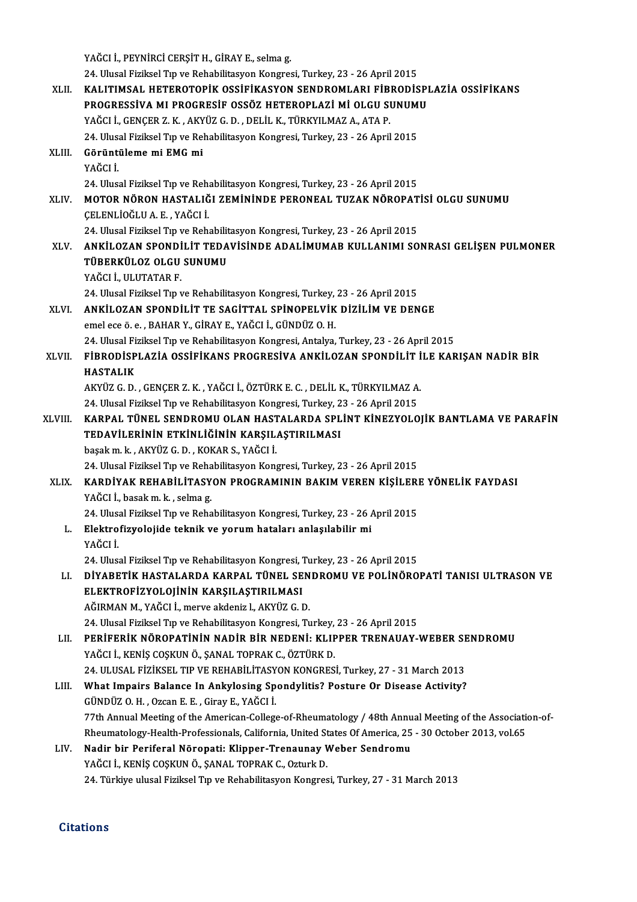|         | YAĞCI İ., PEYNIRCİ CERŞİT H., GİRAY E., selma g.                                                                                       |
|---------|----------------------------------------------------------------------------------------------------------------------------------------|
|         | 24. Ulusal Fiziksel Tıp ve Rehabilitasyon Kongresi, Turkey, 23 - 26 April 2015                                                         |
| XLII.   | KALITIMSAL HETEROTOPIK OSSIFIKASYON SENDROMLARI FIBRODISPLAZIA OSSIFIKANS<br>PROGRESSIVA MI PROGRESIF OSSÖZ HETEROPLAZİ Mİ OLGU SUNUMU |
|         | YAĞCI İ., GENÇER Z. K., AKYÜZ G. D., DELİL K., TÜRKYILMAZ A., ATA P.                                                                   |
|         | 24. Ulusal Fiziksel Tıp ve Rehabilitasyon Kongresi, Turkey, 23 - 26 April 2015                                                         |
| XLIII.  | Görüntüleme mi EMG mi<br>YAĞCI İ                                                                                                       |
|         | 24. Ulusal Fiziksel Tıp ve Rehabilitasyon Kongresi, Turkey, 23 - 26 April 2015                                                         |
| XLIV.   | MOTOR NÖRON HASTALIĞI ZEMİNİNDE PERONEAL TUZAK NÖROPATİSİ OLGU SUNUMU<br>ÇELENLİOĞLU A.E., YAĞCI İ.                                    |
|         | 24. Ulusal Fiziksel Tıp ve Rehabilitasyon Kongresi, Turkey, 23 - 26 April 2015                                                         |
| XLV.    | ANKİLOZAN SPONDİLİT TEDAVİSİNDE ADALİMUMAB KULLANIMI SONRASI GELİŞEN PULMONER<br>TÜBERKÜLOZ OLGU SUNUMU                                |
|         | YAĞCI İ., ULUTATAR F.                                                                                                                  |
|         | 24. Ulusal Fiziksel Tıp ve Rehabilitasyon Kongresi, Turkey, 23 - 26 April 2015                                                         |
| XLVI.   | ANKİLOZAN SPONDİLİT TE SAGİTTAL SPİNOPELVİK DİZİLİM VE DENGE                                                                           |
|         | emel ece ö. e., BAHAR Y., GİRAY E., YAĞCI İ., GÜNDÜZ O. H.                                                                             |
|         | 24. Ulusal Fiziksel Tıp ve Rehabilitasyon Kongresi, Antalya, Turkey, 23 - 26 April 2015                                                |
| XLVII.  | FİBRODİSPLAZİA OSSİFİKANS PROGRESIVA ANKİLOZAN SPONDİLİT İLE KARIŞAN NADİR BİR                                                         |
|         | <b>HASTALIK</b>                                                                                                                        |
|         | AKYÜZ G. D., GENÇER Z. K., YAĞCI İ., ÖZTÜRK E. C., DELİL K., TÜRKYILMAZ A.                                                             |
|         | 24. Ulusal Fiziksel Tıp ve Rehabilitasyon Kongresi, Turkey, 23 - 26 April 2015                                                         |
| XLVIII. | KARPAL TÜNEL SENDROMU OLAN HASTALARDA SPLİNT KİNEZYOLOJİK BANTLAMA VE PARAFİN                                                          |
|         | TEDAVİLERİNİN ETKİNLİĞİNİN KARŞILAŞTIRILMASI                                                                                           |
|         | başak m. k., AKYÜZ G. D., KOKAR S., YAĞCI İ.                                                                                           |
|         | 24. Ulusal Fiziksel Tıp ve Rehabilitasyon Kongresi, Turkey, 23 - 26 April 2015                                                         |
| XLIX.   | KARDİYAK REHABİLİTASYON PROGRAMININ BAKIM VEREN KİŞİLERE YÖNELİK FAYDASI<br>YAĞCI İ., basak m. k., selma g.                            |
|         | 24. Ulusal Fiziksel Tıp ve Rehabilitasyon Kongresi, Turkey, 23 - 26 April 2015                                                         |
| L.      | Elektrofizyolojide teknik ve yorum hataları anlaşılabilir mi                                                                           |
|         | YAĞCI İ                                                                                                                                |
|         | 24. Ulusal Fiziksel Tıp ve Rehabilitasyon Kongresi, Turkey, 23 - 26 April 2015                                                         |
| LI.     | DİYABETİK HASTALARDA KARPAL TÜNEL SENDROMU VE POLİNÖROPATI TANISI ULTRASON VE                                                          |
|         | ELEKTROFİZYOLOJİNİN KARŞILAŞTIRILMASI                                                                                                  |
|         | AĞIRMAN M., YAĞCI İ., merve akdeniz l., AKYÜZ G. D.                                                                                    |
|         | 24. Ulusal Fiziksel Tıp ve Rehabilitasyon Kongresi, Turkey, 23 - 26 April 2015                                                         |
| LII.    | PERIFERIK NÖROPATININ NADIR BIR NEDENI: KLIPPER TRENAUAY-WEBER SENDROMU                                                                |
|         | YAĞCI İ., KENİŞ COŞKUN Ö., ŞANAL TOPRAK C., ÖZTÜRK D.                                                                                  |
|         | 24. ULUSAL FİZİKSEL TIP VE REHABİLİTASYON KONGRESİ, Turkey, 27 - 31 March 2013                                                         |
| LIII.   | What Impairs Balance In Ankylosing Spondylitis? Posture Or Disease Activity?                                                           |
|         | GÜNDÜZ O.H., Ozcan E.E., Giray E., YAĞCI İ.                                                                                            |
|         | 77th Annual Meeting of the American-College-of-Rheumatology / 48th Annual Meeting of the Association-of-                               |
|         | Rheumatology-Health-Professionals, California, United States Of America, 25 - 30 October 2013, vol.65                                  |
| LIV.    | Nadir bir Periferal Nöropati: Klipper-Trenaunay Weber Sendromu<br>YAĞCI İ., KENİŞ COŞKUN Ö., ŞANAL TOPRAK C., Ozturk D.                |
|         | 24. Türkiye ulusal Fiziksel Tıp ve Rehabilitasyon Kongresi, Turkey, 27 - 31 March 2013                                                 |
|         |                                                                                                                                        |

### **Citations**